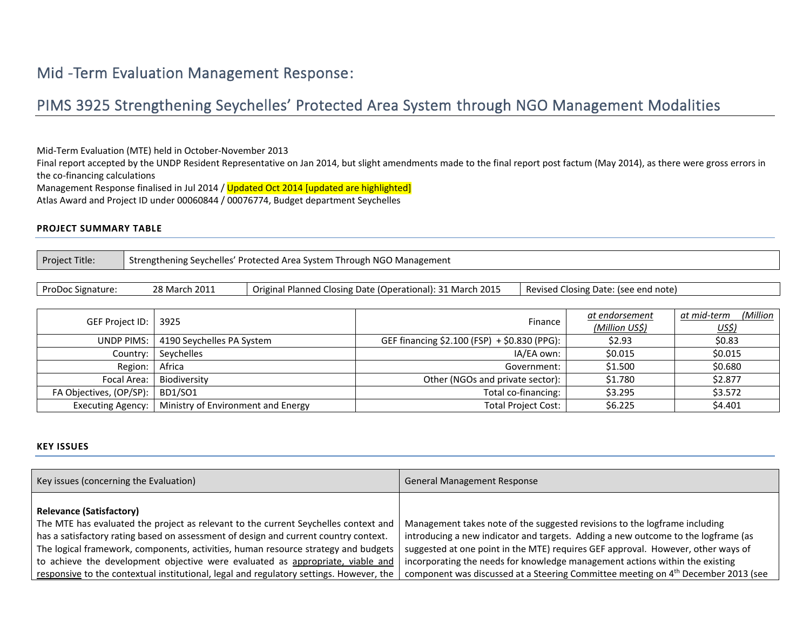# Mid -Term Evaluation Management Response:

# PIMS 3925 Strengthening Seychelles' Protected Area System through NGO Management Modalities

Mid-Term Evaluation (MTE) held in October-November 2013

Final report accepted by the UNDP Resident Representative on Jan 2014, but slight amendments made to the final report post factum (May 2014), as there were gross errors in the co-financing calculations

Management Response finalised in Jul 2014 / Updated Oct 2014 [updated are highlighted]

Atlas Award and Project ID under 00060844 / 00076774, Budget department Seychelles

#### **PROJECT SUMMARY TABLE**

| Project Title: | Strengthening Seychelles' Protected Area System Through NGO Management |
|----------------|------------------------------------------------------------------------|
|----------------|------------------------------------------------------------------------|

ProDoc Signature: 28 March 2011 | Original Planned Closing Date (Operational): 31 March 2015 | Revised Closing Date: (see end note)

| GEF Project ID:   3925   |                                    | Finance                                      | at endorsement<br>(Million US\$) | (Million<br>at mid-term<br><u>US\$)</u> |
|--------------------------|------------------------------------|----------------------------------------------|----------------------------------|-----------------------------------------|
| <b>UNDP PIMS:</b>        | 4190 Seychelles PA System          | GEF financing \$2.100 (FSP) + \$0.830 (PPG): | \$2.93                           | \$0.83                                  |
| Country:                 | Sevchelles                         | IA/EA own:                                   | \$0.015                          | \$0.015                                 |
| Region:                  | Africa                             | Government:                                  | \$1.500                          | \$0.680                                 |
| Focal Area:              | Biodiversity                       | Other (NGOs and private sector):             | \$1.780                          | \$2.877                                 |
| FA Objectives, (OP/SP):  | BD1/SO1                            | Total co-financing:                          | \$3.295                          | \$3.572                                 |
| <b>Executing Agency:</b> | Ministry of Environment and Energy | <b>Total Project Cost:</b>                   | \$6.225                          | \$4.401                                 |

#### **KEY ISSUES**

| Key issues (concerning the Evaluation)                                                                                                                                                                                                                                                                                                                                                 | <b>General Management Response</b>                                                                                                                                                                                                                                                                                                  |
|----------------------------------------------------------------------------------------------------------------------------------------------------------------------------------------------------------------------------------------------------------------------------------------------------------------------------------------------------------------------------------------|-------------------------------------------------------------------------------------------------------------------------------------------------------------------------------------------------------------------------------------------------------------------------------------------------------------------------------------|
| <b>Relevance (Satisfactory)</b><br>The MTE has evaluated the project as relevant to the current Seychelles context and<br>has a satisfactory rating based on assessment of design and current country context.<br>The logical framework, components, activities, human resource strategy and budgets<br>to achieve the development objective were evaluated as appropriate, viable and | Management takes note of the suggested revisions to the logframe including<br>introducing a new indicator and targets. Adding a new outcome to the logframe (as<br>suggested at one point in the MTE) requires GEF approval. However, other ways of<br>incorporating the needs for knowledge management actions within the existing |
| responsive to the contextual institutional, legal and regulatory settings. However, the                                                                                                                                                                                                                                                                                                | component was discussed at a Steering Committee meeting on 4 <sup>th</sup> December 2013 (see                                                                                                                                                                                                                                       |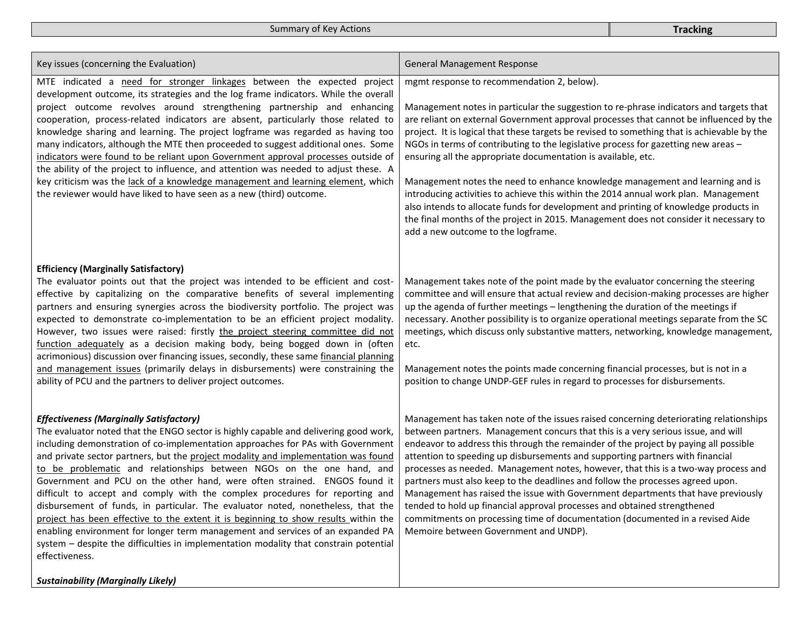Summary of Key Actions **Tracking Tracking** 

| Key issues (concerning the Evaluation)                                                                                                                                                                                                                                                                                                                                                                                                                                                                                                                                                                                                                                                                                                                                                                                                                                                                                                                                     | <b>General Management Response</b>                                                                                                                                                                                                                                                                                                                                                                                                                                                                                                                                                                                                                                                                                                                                                                                                                                                  |
|----------------------------------------------------------------------------------------------------------------------------------------------------------------------------------------------------------------------------------------------------------------------------------------------------------------------------------------------------------------------------------------------------------------------------------------------------------------------------------------------------------------------------------------------------------------------------------------------------------------------------------------------------------------------------------------------------------------------------------------------------------------------------------------------------------------------------------------------------------------------------------------------------------------------------------------------------------------------------|-------------------------------------------------------------------------------------------------------------------------------------------------------------------------------------------------------------------------------------------------------------------------------------------------------------------------------------------------------------------------------------------------------------------------------------------------------------------------------------------------------------------------------------------------------------------------------------------------------------------------------------------------------------------------------------------------------------------------------------------------------------------------------------------------------------------------------------------------------------------------------------|
| MTE indicated a need for stronger linkages between the expected project<br>development outcome, its strategies and the log frame indicators. While the overall<br>project outcome revolves around strengthening partnership and enhancing<br>cooperation, process-related indicators are absent, particularly those related to<br>knowledge sharing and learning. The project logframe was regarded as having too<br>many indicators, although the MTE then proceeded to suggest additional ones. Some<br>indicators were found to be reliant upon Government approval processes outside of<br>the ability of the project to influence, and attention was needed to adjust these. A<br>key criticism was the lack of a knowledge management and learning element, which<br>the reviewer would have liked to have seen as a new (third) outcome.                                                                                                                            | mgmt response to recommendation 2, below).<br>Management notes in particular the suggestion to re-phrase indicators and targets that<br>are reliant on external Government approval processes that cannot be influenced by the<br>project. It is logical that these targets be revised to something that is achievable by the<br>NGOs in terms of contributing to the legislative process for gazetting new areas -<br>ensuring all the appropriate documentation is available, etc.<br>Management notes the need to enhance knowledge management and learning and is<br>introducing activities to achieve this within the 2014 annual work plan. Management<br>also intends to allocate funds for development and printing of knowledge products in<br>the final months of the project in 2015. Management does not consider it necessary to<br>add a new outcome to the logframe. |
| <b>Efficiency (Marginally Satisfactory)</b><br>The evaluator points out that the project was intended to be efficient and cost-<br>effective by capitalizing on the comparative benefits of several implementing<br>partners and ensuring synergies across the biodiversity portfolio. The project was<br>expected to demonstrate co-implementation to be an efficient project modality.<br>However, two issues were raised: firstly the project steering committee did not<br>function adequately as a decision making body, being bogged down in (often<br>acrimonious) discussion over financing issues, secondly, these same financial planning<br>and management issues (primarily delays in disbursements) were constraining the<br>ability of PCU and the partners to deliver project outcomes.                                                                                                                                                                     | Management takes note of the point made by the evaluator concerning the steering<br>committee and will ensure that actual review and decision-making processes are higher<br>up the agenda of further meetings - lengthening the duration of the meetings if<br>necessary. Another possibility is to organize operational meetings separate from the SC<br>meetings, which discuss only substantive matters, networking, knowledge management,<br>etc.<br>Management notes the points made concerning financial processes, but is not in a<br>position to change UNDP-GEF rules in regard to processes for disbursements.                                                                                                                                                                                                                                                           |
| <b>Effectiveness (Marginally Satisfactory)</b><br>The evaluator noted that the ENGO sector is highly capable and delivering good work,<br>including demonstration of co-implementation approaches for PAs with Government<br>and private sector partners, but the project modality and implementation was found<br>to be problematic and relationships between NGOs on the one hand, and<br>Government and PCU on the other hand, were often strained. ENGOS found it<br>difficult to accept and comply with the complex procedures for reporting and<br>disbursement of funds, in particular. The evaluator noted, nonetheless, that the<br>project has been effective to the extent it is beginning to show results within the<br>enabling environment for longer term management and services of an expanded PA<br>system - despite the difficulties in implementation modality that constrain potential<br>effectiveness.<br><b>Sustainability (Marginally Likely)</b> | Management has taken note of the issues raised concerning deteriorating relationships<br>between partners. Management concurs that this is a very serious issue, and will<br>endeavor to address this through the remainder of the project by paying all possible<br>attention to speeding up disbursements and supporting partners with financial<br>processes as needed. Management notes, however, that this is a two-way process and<br>partners must also keep to the deadlines and follow the processes agreed upon.<br>Management has raised the issue with Government departments that have previously<br>tended to hold up financial approval processes and obtained strengthened<br>commitments on processing time of documentation (documented in a revised Aide<br>Memoire between Government and UNDP).                                                                |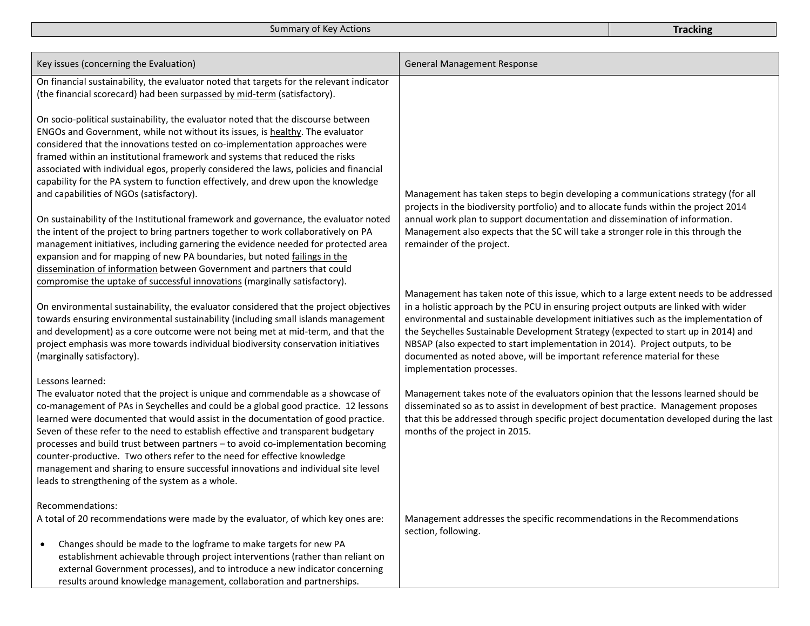| Key issues (concerning the Evaluation)                                                                                                                                                                                                                                                                                                                                                                                                                                                                                                                                                                                                                                      | <b>General Management Response</b>                                                                                                                                                                                                                                                                                                                                                                                                                                                                                                                    |
|-----------------------------------------------------------------------------------------------------------------------------------------------------------------------------------------------------------------------------------------------------------------------------------------------------------------------------------------------------------------------------------------------------------------------------------------------------------------------------------------------------------------------------------------------------------------------------------------------------------------------------------------------------------------------------|-------------------------------------------------------------------------------------------------------------------------------------------------------------------------------------------------------------------------------------------------------------------------------------------------------------------------------------------------------------------------------------------------------------------------------------------------------------------------------------------------------------------------------------------------------|
| On financial sustainability, the evaluator noted that targets for the relevant indicator<br>(the financial scorecard) had been surpassed by mid-term (satisfactory).                                                                                                                                                                                                                                                                                                                                                                                                                                                                                                        |                                                                                                                                                                                                                                                                                                                                                                                                                                                                                                                                                       |
| On socio-political sustainability, the evaluator noted that the discourse between<br>ENGOs and Government, while not without its issues, is healthy. The evaluator<br>considered that the innovations tested on co-implementation approaches were<br>framed within an institutional framework and systems that reduced the risks<br>associated with individual egos, properly considered the laws, policies and financial<br>capability for the PA system to function effectively, and drew upon the knowledge<br>and capabilities of NGOs (satisfactory).                                                                                                                  | Management has taken steps to begin developing a communications strategy (for all                                                                                                                                                                                                                                                                                                                                                                                                                                                                     |
| On sustainability of the Institutional framework and governance, the evaluator noted<br>the intent of the project to bring partners together to work collaboratively on PA<br>management initiatives, including garnering the evidence needed for protected area<br>expansion and for mapping of new PA boundaries, but noted failings in the<br>dissemination of information between Government and partners that could<br>compromise the uptake of successful innovations (marginally satisfactory).                                                                                                                                                                      | projects in the biodiversity portfolio) and to allocate funds within the project 2014<br>annual work plan to support documentation and dissemination of information.<br>Management also expects that the SC will take a stronger role in this through the<br>remainder of the project.                                                                                                                                                                                                                                                                |
| On environmental sustainability, the evaluator considered that the project objectives<br>towards ensuring environmental sustainability (including small islands management<br>and development) as a core outcome were not being met at mid-term, and that the<br>project emphasis was more towards individual biodiversity conservation initiatives<br>(marginally satisfactory).                                                                                                                                                                                                                                                                                           | Management has taken note of this issue, which to a large extent needs to be addressed<br>in a holistic approach by the PCU in ensuring project outputs are linked with wider<br>environmental and sustainable development initiatives such as the implementation of<br>the Seychelles Sustainable Development Strategy (expected to start up in 2014) and<br>NBSAP (also expected to start implementation in 2014). Project outputs, to be<br>documented as noted above, will be important reference material for these<br>implementation processes. |
| Lessons learned:<br>The evaluator noted that the project is unique and commendable as a showcase of<br>co-management of PAs in Seychelles and could be a global good practice. 12 lessons<br>learned were documented that would assist in the documentation of good practice.<br>Seven of these refer to the need to establish effective and transparent budgetary<br>processes and build trust between partners - to avoid co-implementation becoming<br>counter-productive. Two others refer to the need for effective knowledge<br>management and sharing to ensure successful innovations and individual site level<br>leads to strengthening of the system as a whole. | Management takes note of the evaluators opinion that the lessons learned should be<br>disseminated so as to assist in development of best practice. Management proposes<br>that this be addressed through specific project documentation developed during the last<br>months of the project in 2015.                                                                                                                                                                                                                                                  |
| Recommendations:<br>A total of 20 recommendations were made by the evaluator, of which key ones are:<br>Changes should be made to the logframe to make targets for new PA<br>$\bullet$<br>establishment achievable through project interventions (rather than reliant on<br>external Government processes), and to introduce a new indicator concerning<br>results around knowledge management, collaboration and partnerships.                                                                                                                                                                                                                                             | Management addresses the specific recommendations in the Recommendations<br>section, following.                                                                                                                                                                                                                                                                                                                                                                                                                                                       |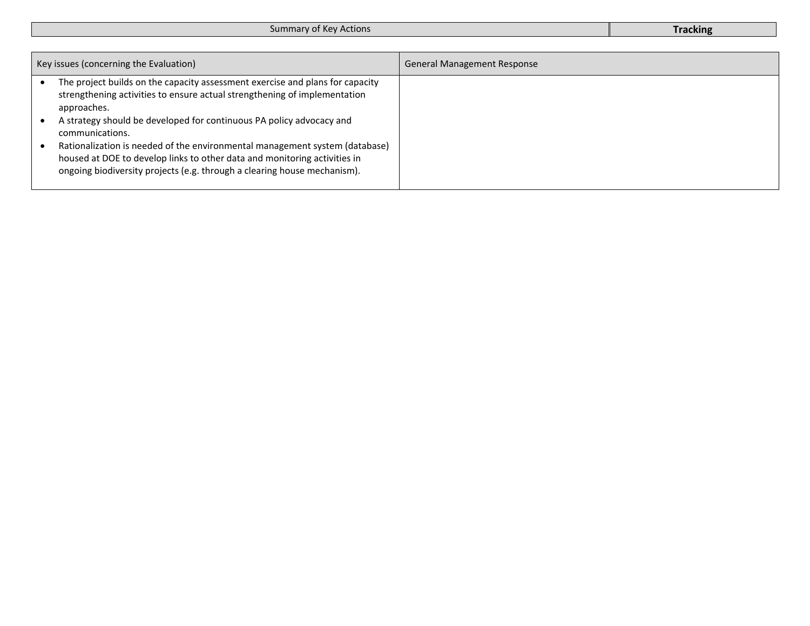| Key issues (concerning the Evaluation)                                                                                                                                                                                               | <b>General Management Response</b> |
|--------------------------------------------------------------------------------------------------------------------------------------------------------------------------------------------------------------------------------------|------------------------------------|
| The project builds on the capacity assessment exercise and plans for capacity<br>strengthening activities to ensure actual strengthening of implementation<br>approaches.                                                            |                                    |
| A strategy should be developed for continuous PA policy advocacy and<br>communications.                                                                                                                                              |                                    |
| Rationalization is needed of the environmental management system (database)<br>housed at DOE to develop links to other data and monitoring activities in<br>ongoing biodiversity projects (e.g. through a clearing house mechanism). |                                    |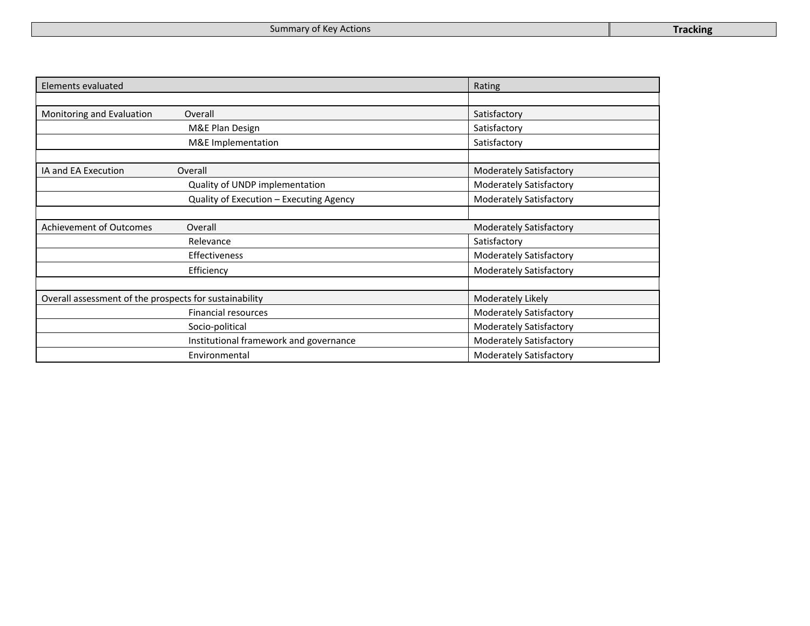| Elements evaluated                                     |                                         | Rating                         |
|--------------------------------------------------------|-----------------------------------------|--------------------------------|
|                                                        |                                         |                                |
| Monitoring and Evaluation                              | Overall                                 | Satisfactory                   |
|                                                        | M&E Plan Design                         | Satisfactory                   |
|                                                        | M&E Implementation                      | Satisfactory                   |
|                                                        |                                         |                                |
| IA and EA Execution                                    | Overall                                 | <b>Moderately Satisfactory</b> |
|                                                        | Quality of UNDP implementation          | <b>Moderately Satisfactory</b> |
|                                                        | Quality of Execution - Executing Agency | <b>Moderately Satisfactory</b> |
|                                                        |                                         |                                |
| <b>Achievement of Outcomes</b>                         | Overall                                 | <b>Moderately Satisfactory</b> |
|                                                        | Relevance                               | Satisfactory                   |
|                                                        | Effectiveness                           | <b>Moderately Satisfactory</b> |
|                                                        | Efficiency                              | <b>Moderately Satisfactory</b> |
|                                                        |                                         |                                |
| Overall assessment of the prospects for sustainability |                                         | Moderately Likely              |
|                                                        | <b>Financial resources</b>              | <b>Moderately Satisfactory</b> |
|                                                        | Socio-political                         | <b>Moderately Satisfactory</b> |
|                                                        | Institutional framework and governance  | <b>Moderately Satisfactory</b> |
|                                                        | Environmental                           | <b>Moderately Satisfactory</b> |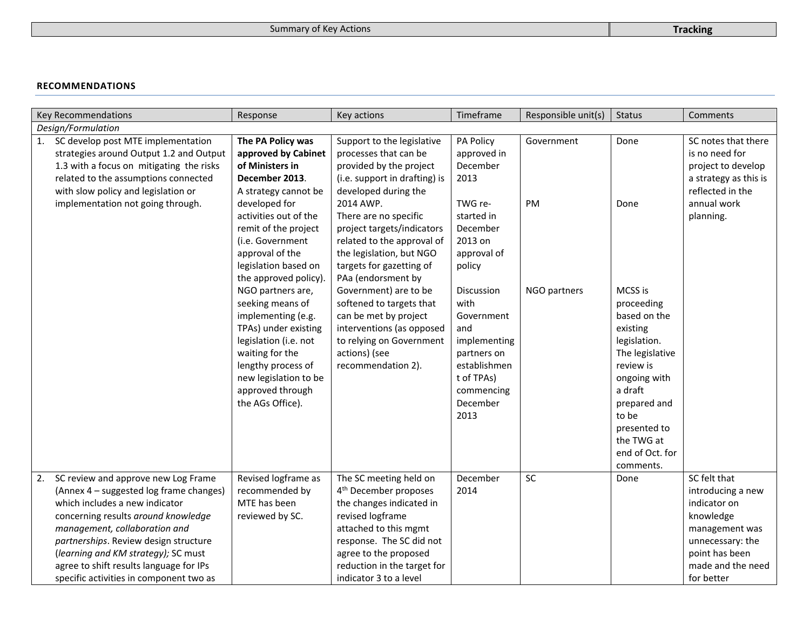#### **RECOMMENDATIONS**

|    | Key Recommendations                                                                                                                                                                                                                                                                                                                                            | Response                                                                                                                                                                                                                                                                | Key actions                                                                                                                                                                                                                                                           | Timeframe                                                                                                                                        | Responsible unit(s) | <b>Status</b>                                                                                                                                                                                                       | Comments                                                                                                                                                  |
|----|----------------------------------------------------------------------------------------------------------------------------------------------------------------------------------------------------------------------------------------------------------------------------------------------------------------------------------------------------------------|-------------------------------------------------------------------------------------------------------------------------------------------------------------------------------------------------------------------------------------------------------------------------|-----------------------------------------------------------------------------------------------------------------------------------------------------------------------------------------------------------------------------------------------------------------------|--------------------------------------------------------------------------------------------------------------------------------------------------|---------------------|---------------------------------------------------------------------------------------------------------------------------------------------------------------------------------------------------------------------|-----------------------------------------------------------------------------------------------------------------------------------------------------------|
|    | Design/Formulation                                                                                                                                                                                                                                                                                                                                             |                                                                                                                                                                                                                                                                         |                                                                                                                                                                                                                                                                       |                                                                                                                                                  |                     |                                                                                                                                                                                                                     |                                                                                                                                                           |
| 1. | SC develop post MTE implementation<br>strategies around Output 1.2 and Output<br>1.3 with a focus on mitigating the risks<br>related to the assumptions connected<br>with slow policy and legislation or<br>implementation not going through.                                                                                                                  | The PA Policy was<br>approved by Cabinet<br>of Ministers in<br>December 2013.<br>A strategy cannot be<br>developed for<br>activities out of the<br>remit of the project<br>(i.e. Government<br>approval of the                                                          | Support to the legislative<br>processes that can be<br>provided by the project<br>(i.e. support in drafting) is<br>developed during the<br>2014 AWP.<br>There are no specific<br>project targets/indicators<br>related to the approval of<br>the legislation, but NGO | PA Policy<br>approved in<br>December<br>2013<br>TWG re-<br>started in<br>December<br>2013 on<br>approval of                                      | Government<br>PM    | Done<br>Done                                                                                                                                                                                                        | SC notes that there<br>is no need for<br>project to develop<br>a strategy as this is<br>reflected in the<br>annual work<br>planning.                      |
|    |                                                                                                                                                                                                                                                                                                                                                                | legislation based on<br>the approved policy).<br>NGO partners are,<br>seeking means of<br>implementing (e.g.<br>TPAs) under existing<br>legislation (i.e. not<br>waiting for the<br>lengthy process of<br>new legislation to be<br>approved through<br>the AGs Office). | targets for gazetting of<br>PAa (endorsment by<br>Government) are to be<br>softened to targets that<br>can be met by project<br>interventions (as opposed<br>to relying on Government<br>actions) (see<br>recommendation 2).                                          | policy<br>Discussion<br>with<br>Government<br>and<br>implementing<br>partners on<br>establishmen<br>t of TPAs)<br>commencing<br>December<br>2013 | NGO partners        | MCSS is<br>proceeding<br>based on the<br>existing<br>legislation.<br>The legislative<br>review is<br>ongoing with<br>a draft<br>prepared and<br>to be<br>presented to<br>the TWG at<br>end of Oct. for<br>comments. |                                                                                                                                                           |
| 2. | SC review and approve new Log Frame<br>(Annex 4 - suggested log frame changes)<br>which includes a new indicator<br>concerning results around knowledge<br>management, collaboration and<br>partnerships. Review design structure<br>(learning and KM strategy); SC must<br>agree to shift results language for IPs<br>specific activities in component two as | Revised logframe as<br>recommended by<br>MTE has been<br>reviewed by SC.                                                                                                                                                                                                | The SC meeting held on<br>4 <sup>th</sup> December proposes<br>the changes indicated in<br>revised logframe<br>attached to this mgmt<br>response. The SC did not<br>agree to the proposed<br>reduction in the target for<br>indicator 3 to a level                    | December<br>2014                                                                                                                                 | SC                  | Done                                                                                                                                                                                                                | SC felt that<br>introducing a new<br>indicator on<br>knowledge<br>management was<br>unnecessary: the<br>point has been<br>made and the need<br>for better |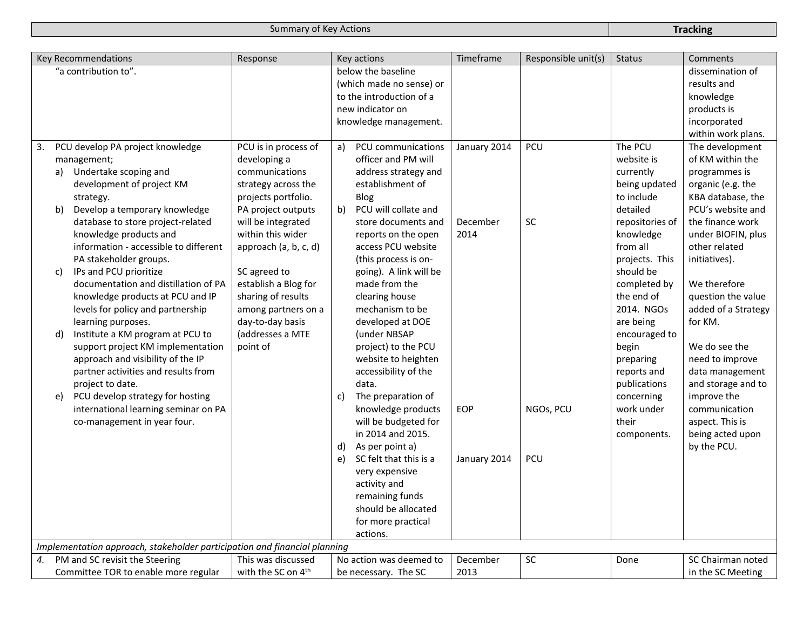|    |    | Key Recommendations                                                       | Response                       |              | Key actions              | Timeframe    | Responsible unit(s) | <b>Status</b>   | Comments            |
|----|----|---------------------------------------------------------------------------|--------------------------------|--------------|--------------------------|--------------|---------------------|-----------------|---------------------|
|    |    | "a contribution to".                                                      |                                |              | below the baseline       |              |                     |                 | dissemination of    |
|    |    |                                                                           |                                |              | (which made no sense) or |              |                     |                 | results and         |
|    |    |                                                                           |                                |              | to the introduction of a |              |                     |                 | knowledge           |
|    |    |                                                                           |                                |              | new indicator on         |              |                     |                 | products is         |
|    |    |                                                                           |                                |              | knowledge management.    |              |                     |                 | incorporated        |
|    |    |                                                                           |                                |              |                          |              |                     |                 | within work plans.  |
| 3. |    | PCU develop PA project knowledge                                          | PCU is in process of           | a)           | PCU communications       | January 2014 | PCU                 | The PCU         | The development     |
|    |    | management;                                                               | developing a                   |              | officer and PM will      |              |                     | website is      | of KM within the    |
|    |    | a) Undertake scoping and                                                  | communications                 |              | address strategy and     |              |                     | currently       | programmes is       |
|    |    | development of project KM                                                 | strategy across the            |              | establishment of         |              |                     | being updated   | organic (e.g. the   |
|    |    | strategy.                                                                 | projects portfolio.            |              | Blog                     |              |                     | to include      | KBA database, the   |
|    | b) | Develop a temporary knowledge                                             | PA project outputs             | b)           | PCU will collate and     |              |                     | detailed        | PCU's website and   |
|    |    | database to store project-related                                         | will be integrated             |              | store documents and      | December     | SC                  | repositories of | the finance work    |
|    |    | knowledge products and                                                    | within this wider              |              | reports on the open      | 2014         |                     | knowledge       | under BIOFIN, plus  |
|    |    | information - accessible to different                                     | approach (a, b, c, d)          |              | access PCU website       |              |                     | from all        | other related       |
|    |    | PA stakeholder groups.                                                    |                                |              | (this process is on-     |              |                     | projects. This  | initiatives).       |
|    | C) | IPs and PCU prioritize                                                    | SC agreed to                   |              | going). A link will be   |              |                     | should be       |                     |
|    |    | documentation and distillation of PA                                      | establish a Blog for           |              | made from the            |              |                     | completed by    | We therefore        |
|    |    | knowledge products at PCU and IP                                          | sharing of results             |              | clearing house           |              |                     | the end of      | question the value  |
|    |    | levels for policy and partnership                                         | among partners on a            |              | mechanism to be          |              |                     | 2014. NGOs      | added of a Strategy |
|    |    | learning purposes.                                                        | day-to-day basis               |              | developed at DOE         |              |                     | are being       | for KM.             |
|    | d) | Institute a KM program at PCU to                                          | (addresses a MTE               |              | (under NBSAP             |              |                     | encouraged to   |                     |
|    |    | support project KM implementation                                         | point of                       |              | project) to the PCU      |              |                     | begin           | We do see the       |
|    |    | approach and visibility of the IP                                         |                                |              | website to heighten      |              |                     | preparing       | need to improve     |
|    |    | partner activities and results from                                       |                                |              | accessibility of the     |              |                     | reports and     | data management     |
|    |    | project to date.                                                          |                                |              | data.                    |              |                     | publications    | and storage and to  |
|    | e) | PCU develop strategy for hosting                                          |                                | $\mathsf{c}$ | The preparation of       |              |                     | concerning      | improve the         |
|    |    | international learning seminar on PA                                      |                                |              | knowledge products       | <b>EOP</b>   | NGOs, PCU           | work under      | communication       |
|    |    | co-management in year four.                                               |                                |              | will be budgeted for     |              |                     | their           | aspect. This is     |
|    |    |                                                                           |                                |              | in 2014 and 2015.        |              |                     | components.     | being acted upon    |
|    |    |                                                                           |                                | d)           | As per point a)          |              |                     |                 | by the PCU.         |
|    |    |                                                                           |                                | e)           | SC felt that this is a   | January 2014 | PCU                 |                 |                     |
|    |    |                                                                           |                                |              | very expensive           |              |                     |                 |                     |
|    |    |                                                                           |                                |              | activity and             |              |                     |                 |                     |
|    |    |                                                                           |                                |              |                          |              |                     |                 |                     |
|    |    |                                                                           |                                |              | remaining funds          |              |                     |                 |                     |
|    |    |                                                                           |                                |              | should be allocated      |              |                     |                 |                     |
|    |    |                                                                           |                                |              | for more practical       |              |                     |                 |                     |
|    |    |                                                                           |                                |              | actions.                 |              |                     |                 |                     |
|    |    | Implementation approach, stakeholder participation and financial planning |                                |              |                          |              |                     |                 |                     |
| 4. |    | PM and SC revisit the Steering                                            | This was discussed             |              | No action was deemed to  | December     | SC                  | Done            | SC Chairman noted   |
|    |    | Committee TOR to enable more regular                                      | with the SC on 4 <sup>th</sup> |              | be necessary. The SC     | 2013         |                     |                 | in the SC Meeting   |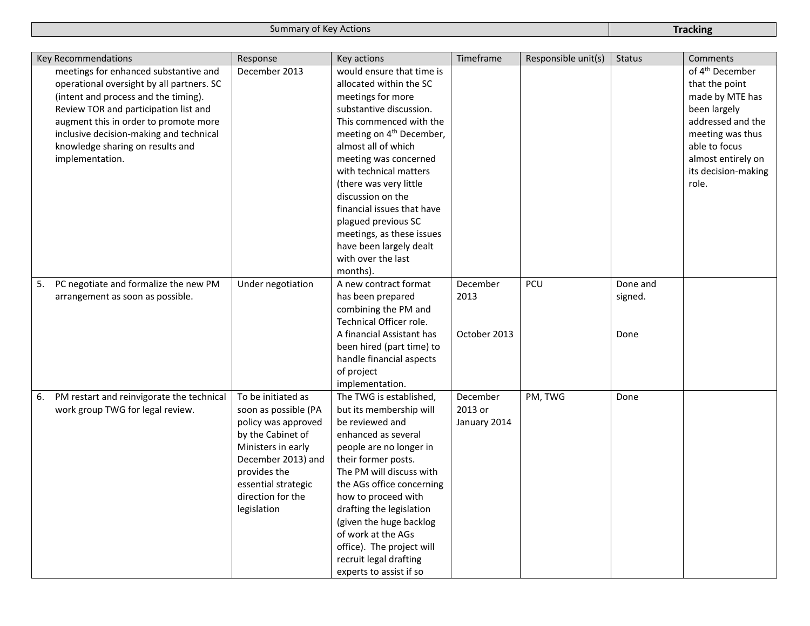| Key Recommendations |                                                                                                                                                                                                                                                                                             | Response                                                                                                                                                                                                      | Key actions                                                                                                                                                                                                                                                                                                                                                                                                                                     | Timeframe                           | Responsible unit(s) | <b>Status</b>               | Comments                                                                                                                                                                                         |
|---------------------|---------------------------------------------------------------------------------------------------------------------------------------------------------------------------------------------------------------------------------------------------------------------------------------------|---------------------------------------------------------------------------------------------------------------------------------------------------------------------------------------------------------------|-------------------------------------------------------------------------------------------------------------------------------------------------------------------------------------------------------------------------------------------------------------------------------------------------------------------------------------------------------------------------------------------------------------------------------------------------|-------------------------------------|---------------------|-----------------------------|--------------------------------------------------------------------------------------------------------------------------------------------------------------------------------------------------|
| implementation.     | meetings for enhanced substantive and<br>operational oversight by all partners. SC<br>(intent and process and the timing).<br>Review TOR and participation list and<br>augment this in order to promote more<br>inclusive decision-making and technical<br>knowledge sharing on results and | December 2013                                                                                                                                                                                                 | would ensure that time is<br>allocated within the SC<br>meetings for more<br>substantive discussion.<br>This commenced with the<br>meeting on 4 <sup>th</sup> December,<br>almost all of which<br>meeting was concerned<br>with technical matters<br>(there was very little<br>discussion on the<br>financial issues that have<br>plagued previous SC<br>meetings, as these issues<br>have been largely dealt<br>with over the last<br>months). |                                     |                     |                             | of 4 <sup>th</sup> December<br>that the point<br>made by MTE has<br>been largely<br>addressed and the<br>meeting was thus<br>able to focus<br>almost entirely on<br>its decision-making<br>role. |
| 5.                  | PC negotiate and formalize the new PM<br>arrangement as soon as possible.                                                                                                                                                                                                                   | Under negotiation                                                                                                                                                                                             | A new contract format<br>has been prepared<br>combining the PM and<br>Technical Officer role.<br>A financial Assistant has<br>been hired (part time) to<br>handle financial aspects<br>of project<br>implementation.                                                                                                                                                                                                                            | December<br>2013<br>October 2013    | PCU                 | Done and<br>signed.<br>Done |                                                                                                                                                                                                  |
| 6.                  | PM restart and reinvigorate the technical<br>work group TWG for legal review.                                                                                                                                                                                                               | To be initiated as<br>soon as possible (PA<br>policy was approved<br>by the Cabinet of<br>Ministers in early<br>December 2013) and<br>provides the<br>essential strategic<br>direction for the<br>legislation | The TWG is established,<br>but its membership will<br>be reviewed and<br>enhanced as several<br>people are no longer in<br>their former posts.<br>The PM will discuss with<br>the AGs office concerning<br>how to proceed with<br>drafting the legislation<br>(given the huge backlog<br>of work at the AGs<br>office). The project will<br>recruit legal drafting<br>experts to assist if so                                                   | December<br>2013 or<br>January 2014 | PM, TWG             | Done                        |                                                                                                                                                                                                  |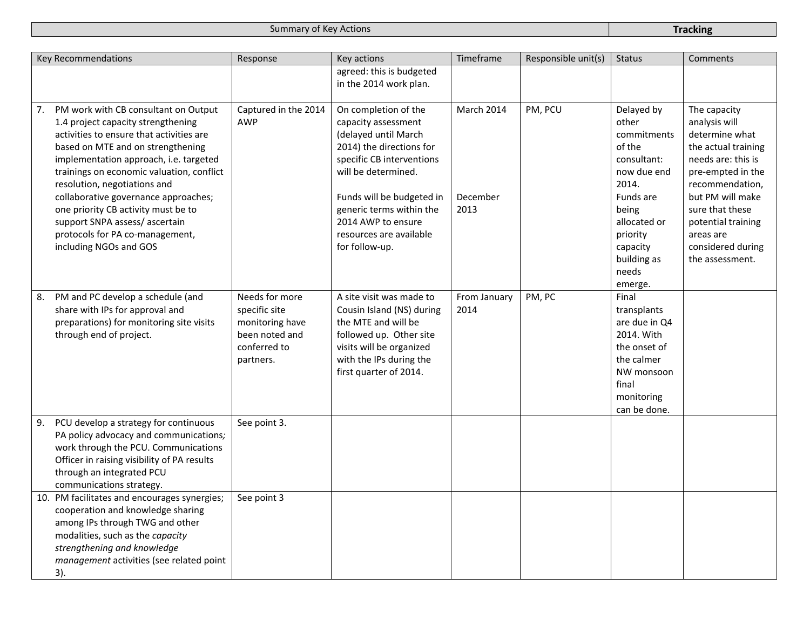| <b>Key Recommendations</b>                                                                                                                                                                                                                                                                                                                                                                                                                                            | Response                                                                                          | Key actions                                                                                                                                                                                                                                                                     | Timeframe                      | Responsible unit(s) | <b>Status</b>                                                                                                                                                                        | <b>Comments</b>                                                                                                                                                                                                                                        |
|-----------------------------------------------------------------------------------------------------------------------------------------------------------------------------------------------------------------------------------------------------------------------------------------------------------------------------------------------------------------------------------------------------------------------------------------------------------------------|---------------------------------------------------------------------------------------------------|---------------------------------------------------------------------------------------------------------------------------------------------------------------------------------------------------------------------------------------------------------------------------------|--------------------------------|---------------------|--------------------------------------------------------------------------------------------------------------------------------------------------------------------------------------|--------------------------------------------------------------------------------------------------------------------------------------------------------------------------------------------------------------------------------------------------------|
|                                                                                                                                                                                                                                                                                                                                                                                                                                                                       |                                                                                                   | agreed: this is budgeted<br>in the 2014 work plan.                                                                                                                                                                                                                              |                                |                     |                                                                                                                                                                                      |                                                                                                                                                                                                                                                        |
| PM work with CB consultant on Output<br>7.<br>1.4 project capacity strengthening<br>activities to ensure that activities are<br>based on MTE and on strengthening<br>implementation approach, i.e. targeted<br>trainings on economic valuation, conflict<br>resolution, negotiations and<br>collaborative governance approaches;<br>one priority CB activity must be to<br>support SNPA assess/ascertain<br>protocols for PA co-management,<br>including NGOs and GOS | Captured in the 2014<br><b>AWP</b>                                                                | On completion of the<br>capacity assessment<br>(delayed until March<br>2014) the directions for<br>specific CB interventions<br>will be determined.<br>Funds will be budgeted in<br>generic terms within the<br>2014 AWP to ensure<br>resources are available<br>for follow-up. | March 2014<br>December<br>2013 | PM, PCU             | Delayed by<br>other<br>commitments<br>of the<br>consultant:<br>now due end<br>2014.<br>Funds are<br>being<br>allocated or<br>priority<br>capacity<br>building as<br>needs<br>emerge. | The capacity<br>analysis will<br>determine what<br>the actual training<br>needs are: this is<br>pre-empted in the<br>recommendation,<br>but PM will make<br>sure that these<br>potential training<br>areas are<br>considered during<br>the assessment. |
| PM and PC develop a schedule (and<br>8.<br>share with IPs for approval and<br>preparations) for monitoring site visits<br>through end of project.                                                                                                                                                                                                                                                                                                                     | Needs for more<br>specific site<br>monitoring have<br>been noted and<br>conferred to<br>partners. | A site visit was made to<br>Cousin Island (NS) during<br>the MTE and will be<br>followed up. Other site<br>visits will be organized<br>with the IPs during the<br>first quarter of 2014.                                                                                        | From January<br>2014           | PM, PC              | Final<br>transplants<br>are due in Q4<br>2014. With<br>the onset of<br>the calmer<br>NW monsoon<br>final<br>monitoring<br>can be done.                                               |                                                                                                                                                                                                                                                        |
| PCU develop a strategy for continuous<br>9.<br>PA policy advocacy and communications;<br>work through the PCU. Communications<br>Officer in raising visibility of PA results<br>through an integrated PCU<br>communications strategy.                                                                                                                                                                                                                                 | See point 3.                                                                                      |                                                                                                                                                                                                                                                                                 |                                |                     |                                                                                                                                                                                      |                                                                                                                                                                                                                                                        |
| 10. PM facilitates and encourages synergies;<br>cooperation and knowledge sharing<br>among IPs through TWG and other<br>modalities, such as the capacity<br>strengthening and knowledge<br>management activities (see related point<br>3).                                                                                                                                                                                                                            | See point 3                                                                                       |                                                                                                                                                                                                                                                                                 |                                |                     |                                                                                                                                                                                      |                                                                                                                                                                                                                                                        |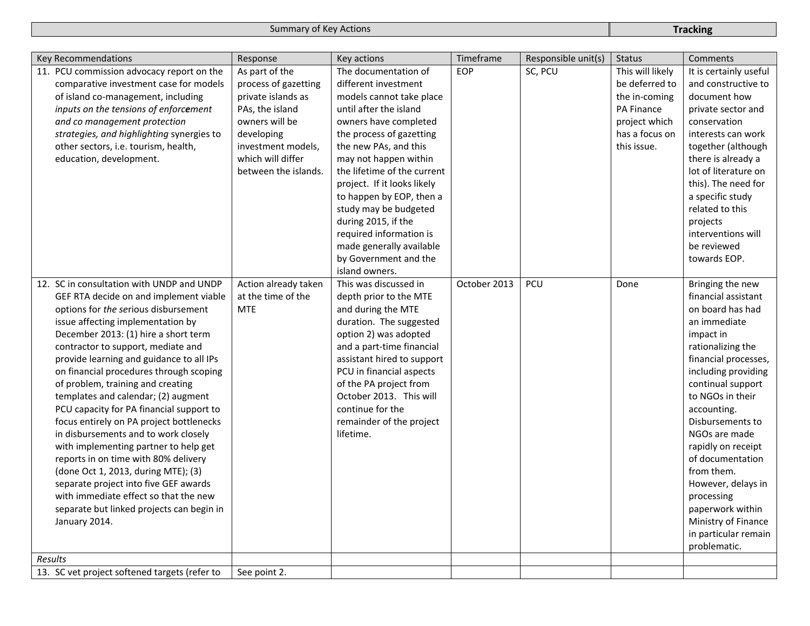| Key Recommendations                                                            | Response             | Key actions                 | Timeframe    | Responsible unit(s) | <b>Status</b>    | Comments                       |
|--------------------------------------------------------------------------------|----------------------|-----------------------------|--------------|---------------------|------------------|--------------------------------|
| 11. PCU commission advocacy report on the                                      | As part of the       | The documentation of        | <b>EOP</b>   | SC, PCU             | This will likely | It is certainly useful         |
| comparative investment case for models                                         | process of gazetting | different investment        |              |                     | be deferred to   | and constructive to            |
| of island co-management, including                                             | private islands as   | models cannot take place    |              |                     | the in-coming    | document how                   |
| inputs on the tensions of enforcement                                          | PAs, the island      | until after the island      |              |                     | PA Finance       | private sector and             |
| and co management protection                                                   | owners will be       | owners have completed       |              |                     | project which    | conservation                   |
| strategies, and highlighting synergies to                                      | developing           | the process of gazetting    |              |                     | has a focus on   | interests can work             |
| other sectors, i.e. tourism, health,                                           | investment models,   | the new PAs, and this       |              |                     | this issue.      | together (although             |
| education, development.                                                        | which will differ    | may not happen within       |              |                     |                  | there is already a             |
|                                                                                | between the islands. | the lifetime of the current |              |                     |                  | lot of literature on           |
|                                                                                |                      | project. If it looks likely |              |                     |                  | this). The need for            |
|                                                                                |                      | to happen by EOP, then a    |              |                     |                  | a specific study               |
|                                                                                |                      | study may be budgeted       |              |                     |                  | related to this                |
|                                                                                |                      | during 2015, if the         |              |                     |                  | projects                       |
|                                                                                |                      | required information is     |              |                     |                  | interventions will             |
|                                                                                |                      | made generally available    |              |                     |                  | be reviewed                    |
|                                                                                |                      | by Government and the       |              |                     |                  | towards EOP.                   |
|                                                                                |                      | island owners.              |              |                     |                  |                                |
| 12. SC in consultation with UNDP and UNDP                                      | Action already taken | This was discussed in       | October 2013 | PCU                 | Done             | Bringing the new               |
| GEF RTA decide on and implement viable                                         | at the time of the   | depth prior to the MTE      |              |                     |                  | financial assistant            |
| options for the serious disbursement                                           | <b>MTE</b>           | and during the MTE          |              |                     |                  | on board has had               |
| issue affecting implementation by                                              |                      | duration. The suggested     |              |                     |                  | an immediate                   |
| December 2013: (1) hire a short term                                           |                      | option 2) was adopted       |              |                     |                  | impact in                      |
| contractor to support, mediate and                                             |                      | and a part-time financial   |              |                     |                  | rationalizing the              |
| provide learning and guidance to all IPs                                       |                      | assistant hired to support  |              |                     |                  | financial processes,           |
| on financial procedures through scoping                                        |                      | PCU in financial aspects    |              |                     |                  | including providing            |
| of problem, training and creating                                              |                      | of the PA project from      |              |                     |                  | continual support              |
| templates and calendar; (2) augment                                            |                      | October 2013. This will     |              |                     |                  | to NGOs in their               |
| PCU capacity for PA financial support to                                       |                      | continue for the            |              |                     |                  | accounting.                    |
| focus entirely on PA project bottlenecks                                       |                      | remainder of the project    |              |                     |                  | Disbursements to               |
| in disbursements and to work closely                                           |                      | lifetime.                   |              |                     |                  | NGOs are made                  |
| with implementing partner to help get                                          |                      |                             |              |                     |                  | rapidly on receipt             |
| reports in on time with 80% delivery                                           |                      |                             |              |                     |                  | of documentation               |
| (done Oct 1, 2013, during MTE); (3)                                            |                      |                             |              |                     |                  | from them.                     |
| separate project into five GEF awards<br>with immediate effect so that the new |                      |                             |              |                     |                  | However, delays in             |
| separate but linked projects can begin in                                      |                      |                             |              |                     |                  | processing<br>paperwork within |
| January 2014.                                                                  |                      |                             |              |                     |                  | Ministry of Finance            |
|                                                                                |                      |                             |              |                     |                  | in particular remain           |
|                                                                                |                      |                             |              |                     |                  | problematic.                   |
| <b>Results</b>                                                                 |                      |                             |              |                     |                  |                                |
| 13. SC vet project softened targets (refer to                                  | See point 2.         |                             |              |                     |                  |                                |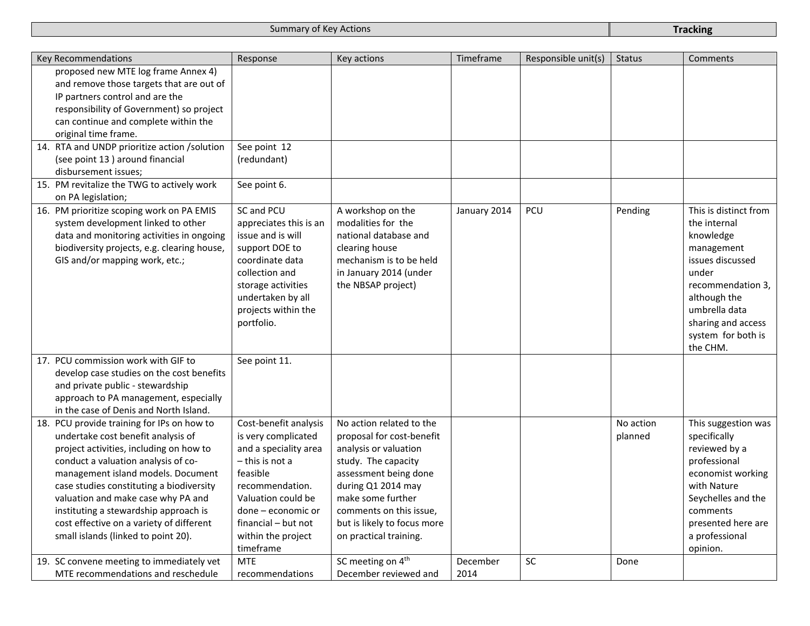| Key Recommendations |                                              | Response               | Key actions                   | Timeframe    | Responsible unit(s) | <b>Status</b> | Comments              |
|---------------------|----------------------------------------------|------------------------|-------------------------------|--------------|---------------------|---------------|-----------------------|
|                     | proposed new MTE log frame Annex 4)          |                        |                               |              |                     |               |                       |
|                     | and remove those targets that are out of     |                        |                               |              |                     |               |                       |
|                     | IP partners control and are the              |                        |                               |              |                     |               |                       |
|                     | responsibility of Government) so project     |                        |                               |              |                     |               |                       |
|                     | can continue and complete within the         |                        |                               |              |                     |               |                       |
|                     | original time frame.                         |                        |                               |              |                     |               |                       |
|                     | 14. RTA and UNDP prioritize action /solution | See point 12           |                               |              |                     |               |                       |
|                     | (see point 13) around financial              | (redundant)            |                               |              |                     |               |                       |
|                     | disbursement issues;                         |                        |                               |              |                     |               |                       |
|                     | 15. PM revitalize the TWG to actively work   | See point 6.           |                               |              |                     |               |                       |
| on PA legislation;  |                                              |                        |                               |              |                     |               |                       |
|                     | 16. PM prioritize scoping work on PA EMIS    | SC and PCU             | A workshop on the             | January 2014 | PCU                 | Pending       | This is distinct from |
|                     | system development linked to other           | appreciates this is an | modalities for the            |              |                     |               | the internal          |
|                     | data and monitoring activities in ongoing    | issue and is will      | national database and         |              |                     |               | knowledge             |
|                     | biodiversity projects, e.g. clearing house,  | support DOE to         | clearing house                |              |                     |               | management            |
|                     | GIS and/or mapping work, etc.;               | coordinate data        | mechanism is to be held       |              |                     |               | issues discussed      |
|                     |                                              | collection and         | in January 2014 (under        |              |                     |               | under                 |
|                     |                                              | storage activities     | the NBSAP project)            |              |                     |               | recommendation 3,     |
|                     |                                              | undertaken by all      |                               |              |                     |               | although the          |
|                     |                                              | projects within the    |                               |              |                     |               | umbrella data         |
|                     |                                              | portfolio.             |                               |              |                     |               | sharing and access    |
|                     |                                              |                        |                               |              |                     |               | system for both is    |
|                     |                                              |                        |                               |              |                     |               | the CHM.              |
|                     | 17. PCU commission work with GIF to          | See point 11.          |                               |              |                     |               |                       |
|                     | develop case studies on the cost benefits    |                        |                               |              |                     |               |                       |
|                     | and private public - stewardship             |                        |                               |              |                     |               |                       |
|                     | approach to PA management, especially        |                        |                               |              |                     |               |                       |
|                     | in the case of Denis and North Island.       |                        |                               |              |                     |               |                       |
|                     | 18. PCU provide training for IPs on how to   | Cost-benefit analysis  | No action related to the      |              |                     | No action     | This suggestion was   |
|                     | undertake cost benefit analysis of           | is very complicated    | proposal for cost-benefit     |              |                     | planned       | specifically          |
|                     | project activities, including on how to      | and a speciality area  | analysis or valuation         |              |                     |               | reviewed by a         |
|                     | conduct a valuation analysis of co-          | $-$ this is not a      | study. The capacity           |              |                     |               | professional          |
|                     | management island models. Document           | feasible               | assessment being done         |              |                     |               | economist working     |
|                     | case studies constituting a biodiversity     | recommendation.        | during Q1 2014 may            |              |                     |               | with Nature           |
|                     | valuation and make case why PA and           | Valuation could be     | make some further             |              |                     |               | Seychelles and the    |
|                     | instituting a stewardship approach is        | done – economic or     | comments on this issue,       |              |                     |               | comments              |
|                     | cost effective on a variety of different     | financial - but not    | but is likely to focus more   |              |                     |               | presented here are    |
|                     | small islands (linked to point 20).          | within the project     | on practical training.        |              |                     |               | a professional        |
|                     |                                              | timeframe              |                               |              |                     |               | opinion.              |
|                     | 19. SC convene meeting to immediately vet    | <b>MTE</b>             | SC meeting on 4 <sup>th</sup> | December     | SC                  | Done          |                       |
|                     | MTE recommendations and reschedule           | recommendations        | December reviewed and         | 2014         |                     |               |                       |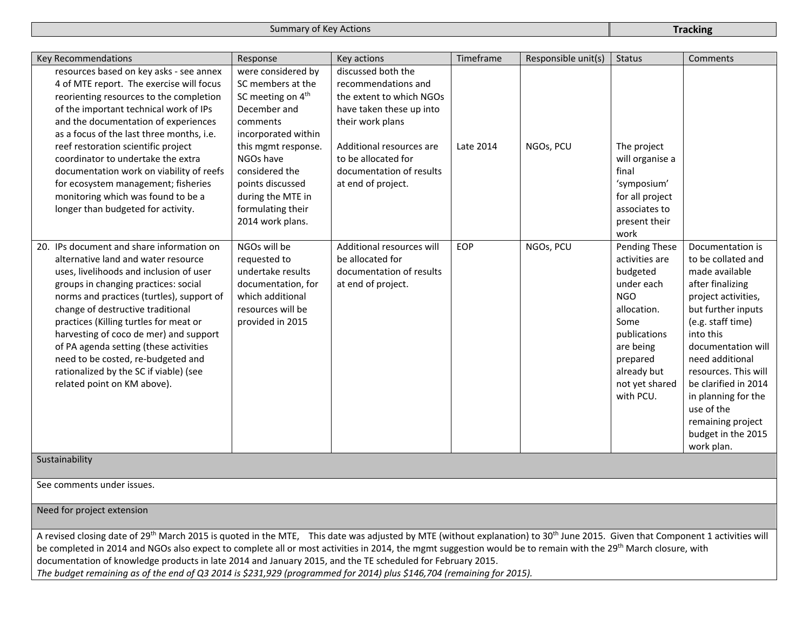| Key Recommendations                                                                                                                                                                                                                                                                                                                                                                                                                                                                                       | Response                                                                                                                                                                                                                                        | Key actions                                                                                                                                                                                                                | Timeframe  | Responsible unit(s) | <b>Status</b>                                                                                                                                                        | Comments                                                                                                                                                                                                                                                                                                                       |
|-----------------------------------------------------------------------------------------------------------------------------------------------------------------------------------------------------------------------------------------------------------------------------------------------------------------------------------------------------------------------------------------------------------------------------------------------------------------------------------------------------------|-------------------------------------------------------------------------------------------------------------------------------------------------------------------------------------------------------------------------------------------------|----------------------------------------------------------------------------------------------------------------------------------------------------------------------------------------------------------------------------|------------|---------------------|----------------------------------------------------------------------------------------------------------------------------------------------------------------------|--------------------------------------------------------------------------------------------------------------------------------------------------------------------------------------------------------------------------------------------------------------------------------------------------------------------------------|
| resources based on key asks - see annex<br>4 of MTE report. The exercise will focus<br>reorienting resources to the completion<br>of the important technical work of IPs<br>and the documentation of experiences<br>as a focus of the last three months, i.e.<br>reef restoration scientific project<br>coordinator to undertake the extra<br>documentation work on viability of reefs<br>for ecosystem management; fisheries<br>monitoring which was found to be a<br>longer than budgeted for activity. | were considered by<br>SC members at the<br>SC meeting on 4 <sup>th</sup><br>December and<br>comments<br>incorporated within<br>this mgmt response.<br>NGOs have<br>considered the<br>points discussed<br>during the MTE in<br>formulating their | discussed both the<br>recommendations and<br>the extent to which NGOs<br>have taken these up into<br>their work plans<br>Additional resources are<br>to be allocated for<br>documentation of results<br>at end of project. | Late 2014  | NGOs, PCU           | The project<br>will organise a<br>final<br>'symposium'<br>for all project<br>associates to                                                                           |                                                                                                                                                                                                                                                                                                                                |
| 20. IPs document and share information on                                                                                                                                                                                                                                                                                                                                                                                                                                                                 | 2014 work plans.<br>NGOs will be                                                                                                                                                                                                                | Additional resources will                                                                                                                                                                                                  | <b>EOP</b> | NGOs, PCU           | present their<br>work<br>Pending These                                                                                                                               | Documentation is                                                                                                                                                                                                                                                                                                               |
| alternative land and water resource<br>uses, livelihoods and inclusion of user<br>groups in changing practices: social<br>norms and practices (turtles), support of<br>change of destructive traditional<br>practices (Killing turtles for meat or<br>harvesting of coco de mer) and support<br>of PA agenda setting (these activities<br>need to be costed, re-budgeted and<br>rationalized by the SC if viable) (see<br>related point on KM above).<br>Sustainability                                   | requested to<br>undertake results<br>documentation, for<br>which additional<br>resources will be<br>provided in 2015                                                                                                                            | be allocated for<br>documentation of results<br>at end of project.                                                                                                                                                         |            |                     | activities are<br>budgeted<br>under each<br><b>NGO</b><br>allocation.<br>Some<br>publications<br>are being<br>prepared<br>already but<br>not yet shared<br>with PCU. | to be collated and<br>made available<br>after finalizing<br>project activities,<br>but further inputs<br>(e.g. staff time)<br>into this<br>documentation will<br>need additional<br>resources. This will<br>be clarified in 2014<br>in planning for the<br>use of the<br>remaining project<br>budget in the 2015<br>work plan. |

See comments under issues.

Need for project extension

A revised closing date of 29<sup>th</sup> March 2015 is quoted in the MTE, This date was adjusted by MTE (without explanation) to 30<sup>th</sup> June 2015. Given that Component 1 activities will be completed in 2014 and NGOs also expect to complete all or most activities in 2014, the mgmt suggestion would be to remain with the 29<sup>th</sup> March closure, with documentation of knowledge products in late 2014 and January 2015, and the TE scheduled for February 2015. *The budget remaining as of the end of Q3 2014 is \$231,929 (programmed for 2014) plus \$146,704 (remaining for 2015).*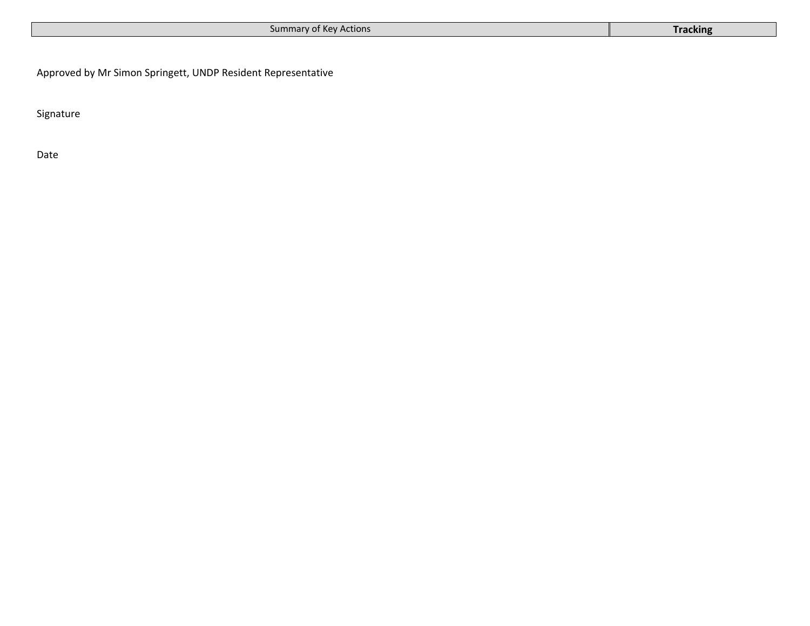| Summary of Key Actions<br><b>Tracking</b> |
|-------------------------------------------|
|-------------------------------------------|

Approved by Mr Simon Springett, UNDP Resident Representative

Signature

Date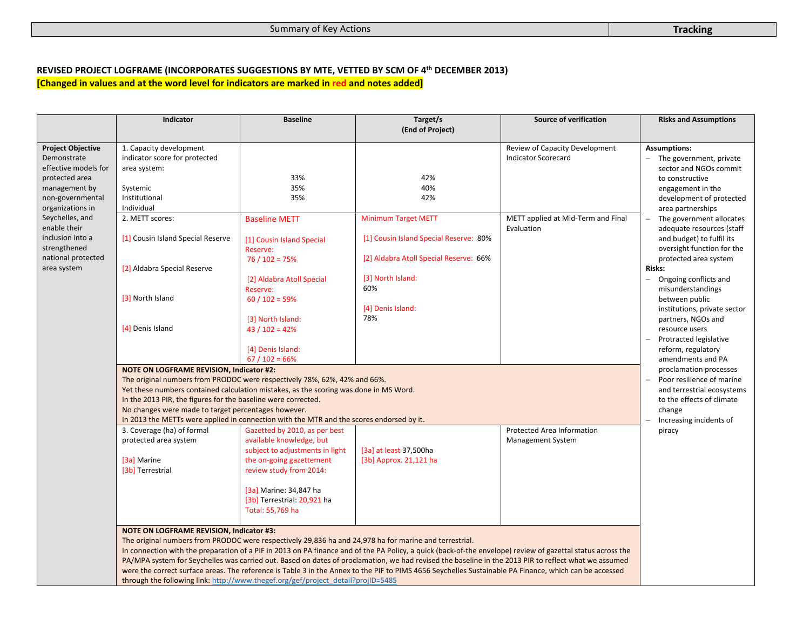#### **REVISED PROJECT LOGFRAME (INCORPORATES SUGGESTIONS BY MTE, VETTED BY SCM OF 4th DECEMBER 2013) [Changed in values and at the word level for indicators are marked in red and notes added]**

|                                 | Indicator                                                                        | <b>Baseline</b>                                                                          | Target/s<br>(End of Project)                                                                                                                                | Source of verification             | <b>Risks and Assumptions</b>                            |
|---------------------------------|----------------------------------------------------------------------------------|------------------------------------------------------------------------------------------|-------------------------------------------------------------------------------------------------------------------------------------------------------------|------------------------------------|---------------------------------------------------------|
| <b>Project Objective</b>        | 1. Capacity development                                                          |                                                                                          |                                                                                                                                                             | Review of Capacity Development     | <b>Assumptions:</b>                                     |
| Demonstrate                     | indicator score for protected                                                    |                                                                                          |                                                                                                                                                             | <b>Indicator Scorecard</b>         | - The government, private                               |
| effective models for            | area system:                                                                     |                                                                                          |                                                                                                                                                             |                                    | sector and NGOs commit                                  |
| protected area                  | Systemic                                                                         | 33%                                                                                      | 42%                                                                                                                                                         |                                    | to constructive                                         |
| management by                   |                                                                                  | 35%                                                                                      | 40%                                                                                                                                                         |                                    | engagement in the                                       |
| non-governmental                | Institutional                                                                    | 35%                                                                                      | 42%                                                                                                                                                         |                                    | development of protected                                |
| organizations in                | Individual                                                                       |                                                                                          |                                                                                                                                                             |                                    | area partnerships                                       |
| Seychelles, and<br>enable their | 2. METT scores:                                                                  | <b>Baseline METT</b>                                                                     | <b>Minimum Target METT</b>                                                                                                                                  | METT applied at Mid-Term and Final | The government allocates                                |
| inclusion into a                |                                                                                  |                                                                                          | [1] Cousin Island Special Reserve: 80%                                                                                                                      | Evaluation                         | adequate resources (staff                               |
| strengthened                    | [1] Cousin Island Special Reserve                                                | [1] Cousin Island Special                                                                |                                                                                                                                                             |                                    | and budget) to fulfil its<br>oversight function for the |
| national protected              |                                                                                  | Reserve:<br>$76/102 = 75%$                                                               | [2] Aldabra Atoll Special Reserve: 66%                                                                                                                      |                                    | protected area system                                   |
| area system                     | [2] Aldabra Special Reserve                                                      |                                                                                          |                                                                                                                                                             |                                    | <b>Risks:</b>                                           |
|                                 |                                                                                  | [2] Aldabra Atoll Special                                                                | [3] North Island:                                                                                                                                           |                                    | Ongoing conflicts and                                   |
|                                 |                                                                                  | Reserve:                                                                                 | 60%                                                                                                                                                         |                                    | misunderstandings                                       |
|                                 | [3] North Island                                                                 | $60 / 102 = 59%$                                                                         |                                                                                                                                                             |                                    | between public                                          |
|                                 |                                                                                  |                                                                                          | [4] Denis Island:                                                                                                                                           |                                    | institutions, private sector                            |
|                                 |                                                                                  | [3] North Island:                                                                        | 78%                                                                                                                                                         |                                    | partners, NGOs and                                      |
|                                 | [4] Denis Island                                                                 | $43 / 102 = 42%$                                                                         |                                                                                                                                                             |                                    | resource users                                          |
|                                 |                                                                                  |                                                                                          |                                                                                                                                                             |                                    | Protracted legislative                                  |
|                                 |                                                                                  | [4] Denis Island:                                                                        |                                                                                                                                                             |                                    | reform, regulatory                                      |
|                                 |                                                                                  | $67/102 = 66%$                                                                           |                                                                                                                                                             |                                    | amendments and PA                                       |
|                                 | <b>NOTE ON LOGFRAME REVISION, Indicator #2:</b>                                  |                                                                                          |                                                                                                                                                             |                                    | proclamation processes                                  |
|                                 | The original numbers from PRODOC were respectively 78%, 62%, 42% and 66%.        |                                                                                          |                                                                                                                                                             |                                    | Poor resilience of marine                               |
|                                 |                                                                                  | Yet these numbers contained calculation mistakes, as the scoring was done in MS Word.    |                                                                                                                                                             |                                    | and terrestrial ecosystems                              |
|                                 | In the 2013 PIR, the figures for the baseline were corrected.                    |                                                                                          |                                                                                                                                                             |                                    | to the effects of climate<br>change                     |
|                                 | No changes were made to target percentages however.                              | In 2013 the METTs were applied in connection with the MTR and the scores endorsed by it. |                                                                                                                                                             |                                    | Increasing incidents of                                 |
|                                 | 3. Coverage (ha) of formal                                                       | Gazetted by 2010, as per best                                                            |                                                                                                                                                             | Protected Area Information         | piracy                                                  |
|                                 | protected area system                                                            | available knowledge, but                                                                 |                                                                                                                                                             | <b>Management System</b>           |                                                         |
|                                 |                                                                                  | subject to adjustments in light                                                          | [3a] at least 37,500ha                                                                                                                                      |                                    |                                                         |
|                                 | [3a] Marine                                                                      | the on-going gazettement                                                                 | [3b] Approx. 21,121 ha                                                                                                                                      |                                    |                                                         |
|                                 | [3b] Terrestrial                                                                 | review study from 2014:                                                                  |                                                                                                                                                             |                                    |                                                         |
|                                 |                                                                                  |                                                                                          |                                                                                                                                                             |                                    |                                                         |
|                                 |                                                                                  | [3a] Marine: 34,847 ha                                                                   |                                                                                                                                                             |                                    |                                                         |
|                                 |                                                                                  | [3b] Terrestrial: 20,921 ha                                                              |                                                                                                                                                             |                                    |                                                         |
|                                 |                                                                                  | Total: 55,769 ha                                                                         |                                                                                                                                                             |                                    |                                                         |
|                                 |                                                                                  |                                                                                          |                                                                                                                                                             |                                    |                                                         |
|                                 | <b>NOTE ON LOGFRAME REVISION, Indicator #3:</b>                                  |                                                                                          |                                                                                                                                                             |                                    |                                                         |
|                                 |                                                                                  |                                                                                          | The original numbers from PRODOC were respectively 29,836 ha and 24,978 ha for marine and terrestrial.                                                      |                                    |                                                         |
|                                 |                                                                                  |                                                                                          | In connection with the preparation of a PIF in 2013 on PA finance and of the PA Policy, a quick (back-of-the envelope) review of gazettal status across the |                                    |                                                         |
|                                 |                                                                                  |                                                                                          | PA/MPA system for Seychelles was carried out. Based on dates of proclamation, we had revised the baseline in the 2013 PIR to reflect what we assumed        |                                    |                                                         |
|                                 | through the following link: http://www.thegef.org/gef/project_detail?projID=5485 |                                                                                          | were the correct surface areas. The reference is Table 3 in the Annex to the PIF to PIMS 4656 Seychelles Sustainable PA Finance, which can be accessed      |                                    |                                                         |
|                                 |                                                                                  |                                                                                          |                                                                                                                                                             |                                    |                                                         |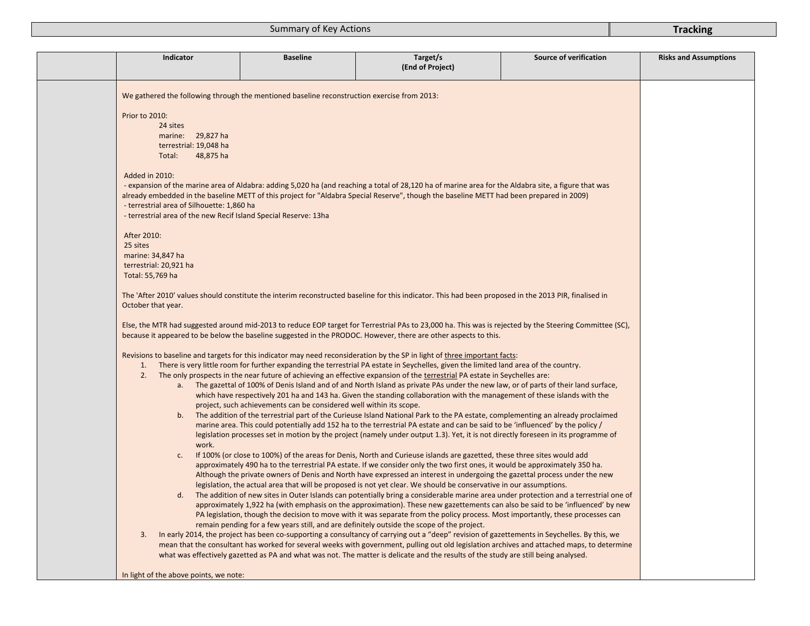|                  |                                            | <b>Baseline</b>                                                                             | Target/s<br>(End of Project)                                                                                                                                                                                                                                                       | Source of verification | <b>Risks and Assumptions</b> |
|------------------|--------------------------------------------|---------------------------------------------------------------------------------------------|------------------------------------------------------------------------------------------------------------------------------------------------------------------------------------------------------------------------------------------------------------------------------------|------------------------|------------------------------|
|                  |                                            | We gathered the following through the mentioned baseline reconstruction exercise from 2013: |                                                                                                                                                                                                                                                                                    |                        |                              |
| Prior to 2010:   |                                            |                                                                                             |                                                                                                                                                                                                                                                                                    |                        |                              |
|                  | 24 sites                                   |                                                                                             |                                                                                                                                                                                                                                                                                    |                        |                              |
|                  | marine: 29,827 ha                          |                                                                                             |                                                                                                                                                                                                                                                                                    |                        |                              |
|                  | terrestrial: 19,048 ha                     |                                                                                             |                                                                                                                                                                                                                                                                                    |                        |                              |
|                  | Total:<br>48,875 ha                        |                                                                                             |                                                                                                                                                                                                                                                                                    |                        |                              |
| Added in 2010:   |                                            |                                                                                             |                                                                                                                                                                                                                                                                                    |                        |                              |
|                  |                                            |                                                                                             | - expansion of the marine area of Aldabra: adding 5,020 ha (and reaching a total of 28,120 ha of marine area for the Aldabra site, a figure that was                                                                                                                               |                        |                              |
|                  |                                            |                                                                                             | already embedded in the baseline METT of this project for "Aldabra Special Reserve", though the baseline METT had been prepared in 2009)                                                                                                                                           |                        |                              |
|                  | - terrestrial area of Silhouette: 1,860 ha |                                                                                             |                                                                                                                                                                                                                                                                                    |                        |                              |
|                  |                                            | - terrestrial area of the new Recif Island Special Reserve: 13ha                            |                                                                                                                                                                                                                                                                                    |                        |                              |
| After 2010:      |                                            |                                                                                             |                                                                                                                                                                                                                                                                                    |                        |                              |
| 25 sites         |                                            |                                                                                             |                                                                                                                                                                                                                                                                                    |                        |                              |
|                  | marine: 34,847 ha                          |                                                                                             |                                                                                                                                                                                                                                                                                    |                        |                              |
|                  | terrestrial: 20,921 ha                     |                                                                                             |                                                                                                                                                                                                                                                                                    |                        |                              |
| Total: 55,769 ha |                                            |                                                                                             |                                                                                                                                                                                                                                                                                    |                        |                              |
|                  |                                            |                                                                                             |                                                                                                                                                                                                                                                                                    |                        |                              |
|                  | October that year.                         |                                                                                             | The 'After 2010' values should constitute the interim reconstructed baseline for this indicator. This had been proposed in the 2013 PIR, finalised in                                                                                                                              |                        |                              |
|                  |                                            |                                                                                             | Else, the MTR had suggested around mid-2013 to reduce EOP target for Terrestrial PAs to 23,000 ha. This was is rejected by the Steering Committee (SC),<br>because it appeared to be below the baseline suggested in the PRODOC. However, there are other aspects to this.         |                        |                              |
|                  |                                            |                                                                                             |                                                                                                                                                                                                                                                                                    |                        |                              |
| 1.               |                                            |                                                                                             | Revisions to baseline and targets for this indicator may need reconsideration by the SP in light of three important facts:                                                                                                                                                         |                        |                              |
| 2.               |                                            |                                                                                             | There is very little room for further expanding the terrestrial PA estate in Seychelles, given the limited land area of the country.<br>The only prospects in the near future of achieving an effective expansion of the terrestrial PA estate in Seychelles are:                  |                        |                              |
|                  |                                            |                                                                                             | a. The gazettal of 100% of Denis Island and of and North Island as private PAs under the new law, or of parts of their land surface,                                                                                                                                               |                        |                              |
|                  |                                            |                                                                                             | which have respectively 201 ha and 143 ha. Given the standing collaboration with the management of these islands with the                                                                                                                                                          |                        |                              |
|                  |                                            | project, such achievements can be considered well within its scope.                         |                                                                                                                                                                                                                                                                                    |                        |                              |
|                  |                                            |                                                                                             | b. The addition of the terrestrial part of the Curieuse Island National Park to the PA estate, complementing an already proclaimed                                                                                                                                                 |                        |                              |
|                  |                                            |                                                                                             | marine area. This could potentially add 152 ha to the terrestrial PA estate and can be said to be 'influenced' by the policy /                                                                                                                                                     |                        |                              |
|                  |                                            |                                                                                             | legislation processes set in motion by the project (namely under output 1.3). Yet, it is not directly foreseen in its programme of                                                                                                                                                 |                        |                              |
|                  | work.<br>c.                                |                                                                                             |                                                                                                                                                                                                                                                                                    |                        |                              |
|                  |                                            |                                                                                             | If 100% (or close to 100%) of the areas for Denis, North and Curieuse islands are gazetted, these three sites would add<br>approximately 490 ha to the terrestrial PA estate. If we consider only the two first ones, it would be approximately 350 ha.                            |                        |                              |
|                  |                                            |                                                                                             | Although the private owners of Denis and North have expressed an interest in undergoing the gazettal process under the new                                                                                                                                                         |                        |                              |
|                  |                                            |                                                                                             | legislation, the actual area that will be proposed is not yet clear. We should be conservative in our assumptions.                                                                                                                                                                 |                        |                              |
|                  | d.                                         |                                                                                             | The addition of new sites in Outer Islands can potentially bring a considerable marine area under protection and a terrestrial one of                                                                                                                                              |                        |                              |
|                  |                                            |                                                                                             | approximately 1,922 ha (with emphasis on the approximation). These new gazettements can also be said to be 'influenced' by new                                                                                                                                                     |                        |                              |
|                  |                                            |                                                                                             | PA legislation, though the decision to move with it was separate from the policy process. Most importantly, these processes can                                                                                                                                                    |                        |                              |
|                  |                                            |                                                                                             | remain pending for a few years still, and are definitely outside the scope of the project.                                                                                                                                                                                         |                        |                              |
| 3.               |                                            |                                                                                             | In early 2014, the project has been co-supporting a consultancy of carrying out a "deep" revision of gazettements in Seychelles. By this, we                                                                                                                                       |                        |                              |
|                  |                                            |                                                                                             | mean that the consultant has worked for several weeks with government, pulling out old legislation archives and attached maps, to determine<br>what was effectively gazetted as PA and what was not. The matter is delicate and the results of the study are still being analysed. |                        |                              |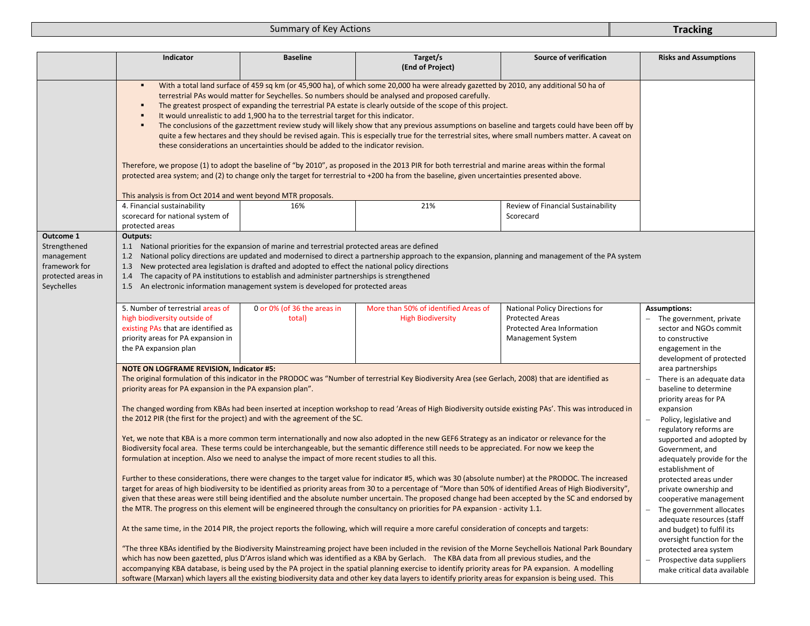|                                                                                              | Indicator                                                                                                                                                                                                                                                                                                                                                                                                                                                                                                                                                                                                                                                                                                                                                                                                                                                                                                                                                                                                                                                                                                                                                                                                                                                                                                                                                                                                                                                                                                                                                                                                                                                                                                                                                                                                                                                                                                                                                                                                                                                                                                                                                                                                                                                                                                                  | <b>Baseline</b>                                                                                                                                                                                                                                                                                                                                                                                                                                                                                                                                            | Target/s<br>(End of Project)                                                                                                                          | Source of verification                                                                                      | <b>Risks and Assumptions</b>                                                                                                                 |  |
|----------------------------------------------------------------------------------------------|----------------------------------------------------------------------------------------------------------------------------------------------------------------------------------------------------------------------------------------------------------------------------------------------------------------------------------------------------------------------------------------------------------------------------------------------------------------------------------------------------------------------------------------------------------------------------------------------------------------------------------------------------------------------------------------------------------------------------------------------------------------------------------------------------------------------------------------------------------------------------------------------------------------------------------------------------------------------------------------------------------------------------------------------------------------------------------------------------------------------------------------------------------------------------------------------------------------------------------------------------------------------------------------------------------------------------------------------------------------------------------------------------------------------------------------------------------------------------------------------------------------------------------------------------------------------------------------------------------------------------------------------------------------------------------------------------------------------------------------------------------------------------------------------------------------------------------------------------------------------------------------------------------------------------------------------------------------------------------------------------------------------------------------------------------------------------------------------------------------------------------------------------------------------------------------------------------------------------------------------------------------------------------------------------------------------------|------------------------------------------------------------------------------------------------------------------------------------------------------------------------------------------------------------------------------------------------------------------------------------------------------------------------------------------------------------------------------------------------------------------------------------------------------------------------------------------------------------------------------------------------------------|-------------------------------------------------------------------------------------------------------------------------------------------------------|-------------------------------------------------------------------------------------------------------------|----------------------------------------------------------------------------------------------------------------------------------------------|--|
|                                                                                              | With a total land surface of 459 sq km (or 45,900 ha), of which some 20,000 ha were already gazetted by 2010, any additional 50 ha of<br>$\blacksquare$<br>terrestrial PAs would matter for Seychelles. So numbers should be analysed and proposed carefully.<br>The greatest prospect of expanding the terrestrial PA estate is clearly outside of the scope of this project.<br>٠<br>It would unrealistic to add 1,900 ha to the terrestrial target for this indicator.<br>٠<br>The conclusions of the gazzettment review study will likely show that any previous assumptions on baseline and targets could have been off by<br>quite a few hectares and they should be revised again. This is especially true for the terrestrial sites, where small numbers matter. A caveat on<br>these considerations an uncertainties should be added to the indicator revision.<br>Therefore, we propose (1) to adopt the baseline of "by 2010", as proposed in the 2013 PIR for both terrestrial and marine areas within the formal<br>protected area system; and (2) to change only the target for terrestrial to +200 ha from the baseline, given uncertainties presented above.<br>This analysis is from Oct 2014 and went beyond MTR proposals.                                                                                                                                                                                                                                                                                                                                                                                                                                                                                                                                                                                                                                                                                                                                                                                                                                                                                                                                                                                                                                                                              |                                                                                                                                                                                                                                                                                                                                                                                                                                                                                                                                                            |                                                                                                                                                       |                                                                                                             |                                                                                                                                              |  |
|                                                                                              | 4. Financial sustainability<br>scorecard for national system of<br>protected areas                                                                                                                                                                                                                                                                                                                                                                                                                                                                                                                                                                                                                                                                                                                                                                                                                                                                                                                                                                                                                                                                                                                                                                                                                                                                                                                                                                                                                                                                                                                                                                                                                                                                                                                                                                                                                                                                                                                                                                                                                                                                                                                                                                                                                                         | 16%                                                                                                                                                                                                                                                                                                                                                                                                                                                                                                                                                        | 21%                                                                                                                                                   | Review of Financial Sustainability<br>Scorecard                                                             |                                                                                                                                              |  |
| Outcome 1<br>Strengthened<br>management<br>framework for<br>protected areas in<br>Seychelles | Outputs:<br>1.1 National priorities for the expansion of marine and terrestrial protected areas are defined<br>1.3 New protected area legislation is drafted and adopted to effect the national policy directions<br>1.4 The capacity of PA institutions to establish and administer partnerships is strengthened<br>1.5 An electronic information management system is developed for protected areas                                                                                                                                                                                                                                                                                                                                                                                                                                                                                                                                                                                                                                                                                                                                                                                                                                                                                                                                                                                                                                                                                                                                                                                                                                                                                                                                                                                                                                                                                                                                                                                                                                                                                                                                                                                                                                                                                                                      |                                                                                                                                                                                                                                                                                                                                                                                                                                                                                                                                                            | 1.2 National policy directions are updated and modernised to direct a partnership approach to the expansion, planning and management of the PA system |                                                                                                             |                                                                                                                                              |  |
|                                                                                              | 5. Number of terrestrial areas of<br>high biodiversity outside of<br>existing PAs that are identified as<br>priority areas for PA expansion in<br>the PA expansion plan                                                                                                                                                                                                                                                                                                                                                                                                                                                                                                                                                                                                                                                                                                                                                                                                                                                                                                                                                                                                                                                                                                                                                                                                                                                                                                                                                                                                                                                                                                                                                                                                                                                                                                                                                                                                                                                                                                                                                                                                                                                                                                                                                    | 0 or 0% (of 36 the areas in<br>total)                                                                                                                                                                                                                                                                                                                                                                                                                                                                                                                      | More than 50% of identified Areas of<br><b>High Biodiversity</b>                                                                                      | National Policy Directions for<br><b>Protected Areas</b><br>Protected Area Information<br>Management System | <b>Assumptions:</b><br>The government, private<br>sector and NGOs commit<br>to constructive<br>engagement in the<br>development of protected |  |
|                                                                                              | <b>NOTE ON LOGFRAME REVISION, Indicator #5:</b><br>The original formulation of this indicator in the PRODOC was "Number of terrestrial Key Biodiversity Area (see Gerlach, 2008) that are identified as<br>priority areas for PA expansion in the PA expansion plan".<br>The changed wording from KBAs had been inserted at inception workshop to read 'Areas of High Biodiversity outside existing PAs'. This was introduced in<br>the 2012 PIR (the first for the project) and with the agreement of the SC.<br>Yet, we note that KBA is a more common term internationally and now also adopted in the new GEF6 Strategy as an indicator or relevance for the<br>Biodiversity focal area. These terms could be interchangeable, but the semantic difference still needs to be appreciated. For now we keep the<br>formulation at inception. Also we need to analyse the impact of more recent studies to all this.<br>Further to these considerations, there were changes to the target value for indicator #5, which was 30 (absolute number) at the PRODOC. The increased<br>target for areas of high biodiversity to be identified as priority areas from 30 to a percentage of "More than 50% of identified Areas of High Biodiversity",<br>given that these areas were still being identified and the absolute number uncertain. The proposed change had been accepted by the SC and endorsed by<br>the MTR. The progress on this element will be engineered through the consultancy on priorities for PA expansion - activity 1.1.<br>At the same time, in the 2014 PIR, the project reports the following, which will require a more careful consideration of concepts and targets:<br>"The three KBAs identified by the Biodiversity Mainstreaming project have been included in the revision of the Morne Seychellois National Park Boundary<br>which has now been gazetted, plus D'Arros island which was identified as a KBA by Gerlach. The KBA data from all previous studies, and the<br>accompanying KBA database, is being used by the PA project in the spatial planning exercise to identify priority areas for PA expansion. A modelling<br>software (Marxan) which layers all the existing biodiversity data and other key data layers to identify priority areas for expansion is being used. This | area partnerships<br>There is an adequate data<br>baseline to determine<br>priority areas for PA<br>expansion<br>Policy, legislative and<br>regulatory reforms are<br>supported and adopted by<br>Government, and<br>adequately provide for the<br>establishment of<br>protected areas under<br>private ownership and<br>cooperative management<br>The government allocates<br>adequate resources (staff<br>and budget) to fulfil its<br>oversight function for the<br>protected area system<br>Prospective data suppliers<br>make critical data available |                                                                                                                                                       |                                                                                                             |                                                                                                                                              |  |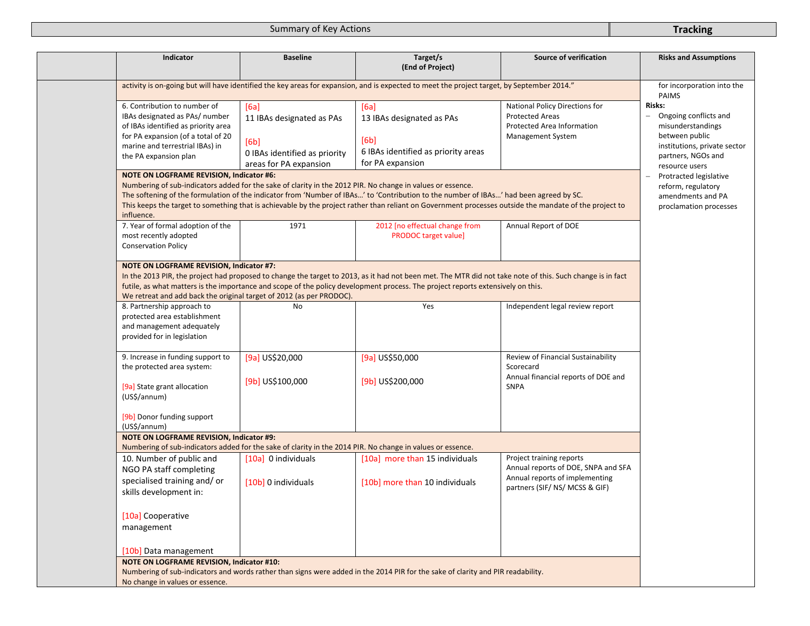| Indicator                                                                                                                                                                                               | <b>Baseline</b>                                                                                      | Target/s<br>(End of Project)                                                                                                                                                                                                                                                                        | <b>Source of verification</b>                                                                                                       | <b>Risks and Assumptions</b>                                                                                                                   |
|---------------------------------------------------------------------------------------------------------------------------------------------------------------------------------------------------------|------------------------------------------------------------------------------------------------------|-----------------------------------------------------------------------------------------------------------------------------------------------------------------------------------------------------------------------------------------------------------------------------------------------------|-------------------------------------------------------------------------------------------------------------------------------------|------------------------------------------------------------------------------------------------------------------------------------------------|
| activity is on-going but will have identified the key areas for expansion, and is expected to meet the project target, by September 2014."                                                              | for incorporation into the<br>PAIMS                                                                  |                                                                                                                                                                                                                                                                                                     |                                                                                                                                     |                                                                                                                                                |
| 6. Contribution to number of<br>IBAs designated as PAs/ number<br>of IBAs identified as priority area<br>for PA expansion (of a total of 20<br>marine and terrestrial IBAs) in<br>the PA expansion plan | [6a]<br>11 IBAs designated as PAs<br>[6b]<br>0 IBAs identified as priority<br>areas for PA expansion | [6a]<br>13 IBAs designated as PAs<br>[6b]<br>6 IBAs identified as priority areas<br>for PA expansion                                                                                                                                                                                                | National Policy Directions for<br><b>Protected Areas</b><br>Protected Area Information<br>Management System                         | Risks:<br>Ongoing conflicts and<br>misunderstandings<br>between public<br>institutions, private sector<br>partners, NGOs and<br>resource users |
| <b>NOTE ON LOGFRAME REVISION, Indicator #6:</b><br>Numbering of sub-indicators added for the sake of clarity in the 2012 PIR. No change in values or essence.<br>influence.                             |                                                                                                      | The softening of the formulation of the indicator from 'Number of IBAs' to 'Contribution to the number of IBAs' had been agreed by SC.<br>This keeps the target to something that is achievable by the project rather than reliant on Government processes outside the mandate of the project to    |                                                                                                                                     | Protracted legislative<br>reform, regulatory<br>amendments and PA<br>proclamation processes                                                    |
| 7. Year of formal adoption of the<br>most recently adopted<br><b>Conservation Policy</b>                                                                                                                | 1971                                                                                                 | 2012 [no effectual change from<br><b>PRODOC</b> target value]                                                                                                                                                                                                                                       | Annual Report of DOE                                                                                                                |                                                                                                                                                |
| <b>NOTE ON LOGFRAME REVISION, Indicator #7:</b><br>We retreat and add back the original target of 2012 (as per PRODOC).<br>8. Partnership approach to                                                   | No                                                                                                   | In the 2013 PIR, the project had proposed to change the target to 2013, as it had not been met. The MTR did not take note of this. Such change is in fact<br>futile, as what matters is the importance and scope of the policy development process. The project reports extensively on this.<br>Yes | Independent legal review report                                                                                                     |                                                                                                                                                |
| protected area establishment<br>and management adequately<br>provided for in legislation                                                                                                                |                                                                                                      |                                                                                                                                                                                                                                                                                                     |                                                                                                                                     |                                                                                                                                                |
| 9. Increase in funding support to<br>the protected area system:<br>[9a] State grant allocation<br>(US\$/annum)<br>[9b] Donor funding support                                                            | [9a] US\$20,000<br>[9b] US\$100,000                                                                  | [9a] US\$50,000<br>[9b] US\$200,000                                                                                                                                                                                                                                                                 | Review of Financial Sustainability<br>Scorecard<br>Annual financial reports of DOE and<br><b>SNPA</b>                               |                                                                                                                                                |
| (US\$/annum)<br>NOTE ON LOGFRAME REVISION, Indicator #9:                                                                                                                                                |                                                                                                      |                                                                                                                                                                                                                                                                                                     |                                                                                                                                     |                                                                                                                                                |
| 10. Number of public and<br>NGO PA staff completing<br>specialised training and/or<br>skills development in:                                                                                            | [10a] 0 individuals<br>[10b] 0 individuals                                                           | Numbering of sub-indicators added for the sake of clarity in the 2014 PIR. No change in values or essence.<br>[10a] more than 15 individuals<br>[10b] more than 10 individuals                                                                                                                      | Project training reports<br>Annual reports of DOE, SNPA and SFA<br>Annual reports of implementing<br>partners (SIF/ NS/ MCSS & GIF) |                                                                                                                                                |
| [10a] Cooperative<br>management<br>[10b] Data management                                                                                                                                                |                                                                                                      |                                                                                                                                                                                                                                                                                                     |                                                                                                                                     |                                                                                                                                                |
| <b>NOTE ON LOGFRAME REVISION, Indicator #10:</b><br>No change in values or essence.                                                                                                                     |                                                                                                      | Numbering of sub-indicators and words rather than signs were added in the 2014 PIR for the sake of clarity and PIR readability.                                                                                                                                                                     |                                                                                                                                     |                                                                                                                                                |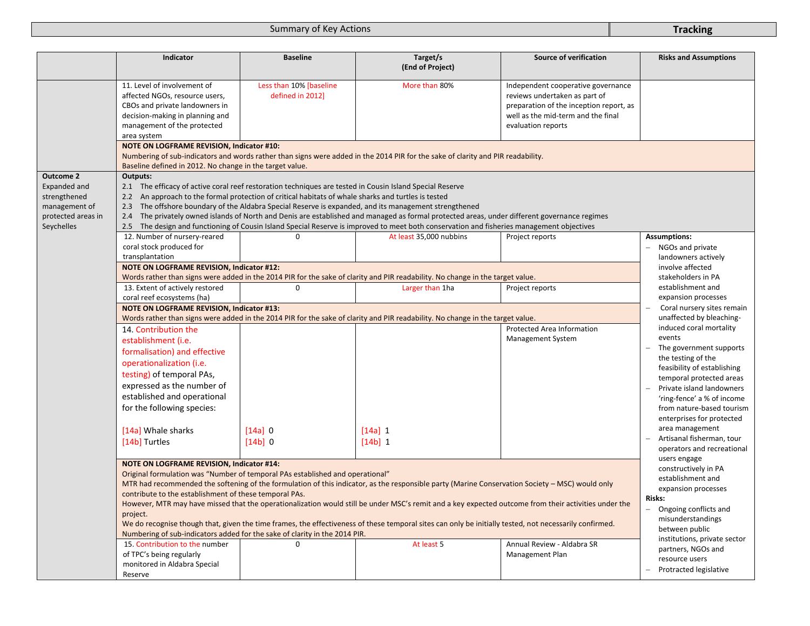|                                                                                                       | Indicator                                                                                                                                                                                                                                                                                                                                                                                                                                                                                                                                                                                                                                                                                                                                                                                                       | <b>Baseline</b>                                                                                                                                                                                                                                | Target/s<br>(End of Project)                                                                                                                                                                                                                                                                                                                                                                                                  | <b>Source of verification</b>                                                                                                                                              | <b>Risks and Assumptions</b>                                                                                                                                                                                                                                                                                                                                     |
|-------------------------------------------------------------------------------------------------------|-----------------------------------------------------------------------------------------------------------------------------------------------------------------------------------------------------------------------------------------------------------------------------------------------------------------------------------------------------------------------------------------------------------------------------------------------------------------------------------------------------------------------------------------------------------------------------------------------------------------------------------------------------------------------------------------------------------------------------------------------------------------------------------------------------------------|------------------------------------------------------------------------------------------------------------------------------------------------------------------------------------------------------------------------------------------------|-------------------------------------------------------------------------------------------------------------------------------------------------------------------------------------------------------------------------------------------------------------------------------------------------------------------------------------------------------------------------------------------------------------------------------|----------------------------------------------------------------------------------------------------------------------------------------------------------------------------|------------------------------------------------------------------------------------------------------------------------------------------------------------------------------------------------------------------------------------------------------------------------------------------------------------------------------------------------------------------|
|                                                                                                       | 11. Level of involvement of<br>affected NGOs, resource users,<br>CBOs and private landowners in<br>decision-making in planning and<br>management of the protected<br>area system                                                                                                                                                                                                                                                                                                                                                                                                                                                                                                                                                                                                                                | Less than 10% [baseline<br>defined in 2012]                                                                                                                                                                                                    | More than 80%                                                                                                                                                                                                                                                                                                                                                                                                                 | Independent cooperative governance<br>reviews undertaken as part of<br>preparation of the inception report, as<br>well as the mid-term and the final<br>evaluation reports |                                                                                                                                                                                                                                                                                                                                                                  |
|                                                                                                       | <b>NOTE ON LOGFRAME REVISION, Indicator #10:</b><br>Baseline defined in 2012. No change in the target value.                                                                                                                                                                                                                                                                                                                                                                                                                                                                                                                                                                                                                                                                                                    |                                                                                                                                                                                                                                                | Numbering of sub-indicators and words rather than signs were added in the 2014 PIR for the sake of clarity and PIR readability.                                                                                                                                                                                                                                                                                               |                                                                                                                                                                            |                                                                                                                                                                                                                                                                                                                                                                  |
| <b>Outcome 2</b><br>Expanded and<br>strengthened<br>management of<br>protected areas in<br>Seychelles | Outputs:<br>2.1 The efficacy of active coral reef restoration techniques are tested in Cousin Island Special Reserve<br>2.2<br>12. Number of nursery-reared                                                                                                                                                                                                                                                                                                                                                                                                                                                                                                                                                                                                                                                     | An approach to the formal protection of critical habitats of whale sharks and turtles is tested<br>$\Omega$                                                                                                                                    | 2.3 The offshore boundary of the Aldabra Special Reserve is expanded, and its management strengthened<br>2.4 The privately owned islands of North and Denis are established and managed as formal protected areas, under different governance regimes<br>2.5 The design and functioning of Cousin Island Special Reserve is improved to meet both conservation and fisheries management objectives<br>At least 35,000 nubbins | Project reports                                                                                                                                                            | <b>Assumptions:</b>                                                                                                                                                                                                                                                                                                                                              |
|                                                                                                       | coral stock produced for                                                                                                                                                                                                                                                                                                                                                                                                                                                                                                                                                                                                                                                                                                                                                                                        |                                                                                                                                                                                                                                                |                                                                                                                                                                                                                                                                                                                                                                                                                               |                                                                                                                                                                            | - NGOs and private                                                                                                                                                                                                                                                                                                                                               |
|                                                                                                       | transplantation<br><b>NOTE ON LOGFRAME REVISION, Indicator #12:</b><br>Words rather than signs were added in the 2014 PIR for the sake of clarity and PIR readability. No change in the target value.                                                                                                                                                                                                                                                                                                                                                                                                                                                                                                                                                                                                           | landowners actively<br>involve affected<br>stakeholders in PA                                                                                                                                                                                  |                                                                                                                                                                                                                                                                                                                                                                                                                               |                                                                                                                                                                            |                                                                                                                                                                                                                                                                                                                                                                  |
|                                                                                                       | 13. Extent of actively restored<br>coral reef ecosystems (ha)                                                                                                                                                                                                                                                                                                                                                                                                                                                                                                                                                                                                                                                                                                                                                   | 0                                                                                                                                                                                                                                              | Larger than 1ha                                                                                                                                                                                                                                                                                                                                                                                                               | Project reports                                                                                                                                                            | establishment and<br>expansion processes                                                                                                                                                                                                                                                                                                                         |
|                                                                                                       | <b>NOTE ON LOGFRAME REVISION, Indicator #13:</b>                                                                                                                                                                                                                                                                                                                                                                                                                                                                                                                                                                                                                                                                                                                                                                | Coral nursery sites remain                                                                                                                                                                                                                     |                                                                                                                                                                                                                                                                                                                                                                                                                               |                                                                                                                                                                            |                                                                                                                                                                                                                                                                                                                                                                  |
|                                                                                                       | Words rather than signs were added in the 2014 PIR for the sake of clarity and PIR readability. No change in the target value.                                                                                                                                                                                                                                                                                                                                                                                                                                                                                                                                                                                                                                                                                  | unaffected by bleaching-                                                                                                                                                                                                                       |                                                                                                                                                                                                                                                                                                                                                                                                                               |                                                                                                                                                                            |                                                                                                                                                                                                                                                                                                                                                                  |
|                                                                                                       | 14. Contribution the<br>establishment (i.e.<br>formalisation) and effective<br>operationalization (i.e.<br>testing) of temporal PAs,<br>expressed as the number of<br>established and operational<br>for the following species:<br>[14a] Whale sharks<br>[14b] Turtles<br><b>NOTE ON LOGFRAME REVISION, Indicator #14:</b>                                                                                                                                                                                                                                                                                                                                                                                                                                                                                      | $[14a]$ 0<br>[14b]0                                                                                                                                                                                                                            | $[14a] 1$<br>$[14b]$ 1                                                                                                                                                                                                                                                                                                                                                                                                        | Protected Area Information<br>Management System                                                                                                                            | induced coral mortality<br>events<br>The government supports<br>the testing of the<br>feasibility of establishing<br>temporal protected areas<br>Private island landowners<br>'ring-fence' a % of income<br>from nature-based tourism<br>enterprises for protected<br>area management<br>Artisanal fisherman, tour<br>operators and recreational<br>users engage |
|                                                                                                       | Original formulation was "Number of temporal PAs established and operational"<br>MTR had recommended the softening of the formulation of this indicator, as the responsible party (Marine Conservation Society – MSC) would only<br>contribute to the establishment of these temporal PAs.<br>However, MTR may have missed that the operationalization would still be under MSC's remit and a key expected outcome from their activities under the<br>project.<br>We do recognise though that, given the time frames, the effectiveness of these temporal sites can only be initially tested, not necessarily confirmed.<br>Numbering of sub-indicators added for the sake of clarity in the 2014 PIR.<br>15. Contribution to the number<br>of TPC's being regularly<br>monitored in Aldabra Special<br>Reserve | constructively in PA<br>establishment and<br>expansion processes<br>Risks:<br>Ongoing conflicts and<br>misunderstandings<br>between public<br>institutions, private sector<br>partners, NGOs and<br>resource users<br>- Protracted legislative |                                                                                                                                                                                                                                                                                                                                                                                                                               |                                                                                                                                                                            |                                                                                                                                                                                                                                                                                                                                                                  |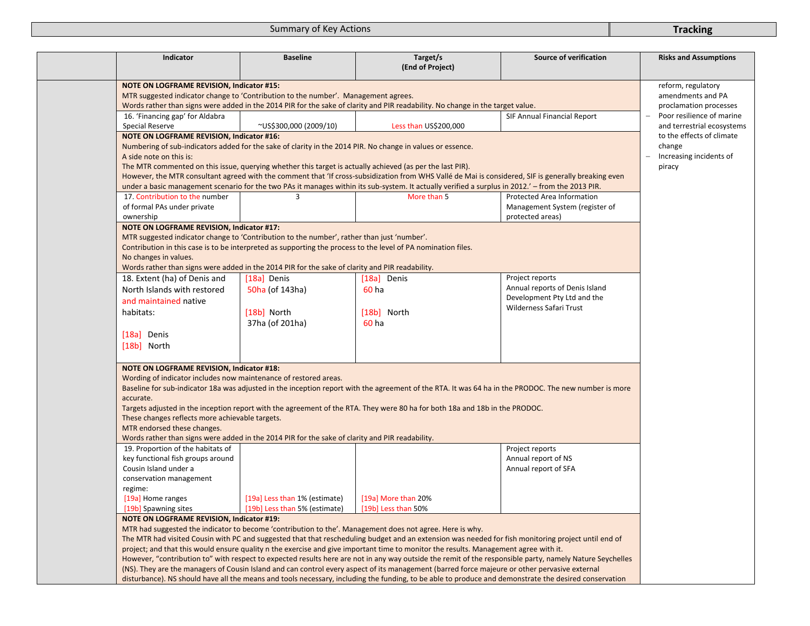| Indicator                                                                                                                                                                                                                                                                | <b>Baseline</b>               | Target/s<br>(End of Project)                                                                                                                                                                                                                                    | Source of verification                                                                                                                                   | <b>Risks and Assumptions</b>                            |  |  |  |
|--------------------------------------------------------------------------------------------------------------------------------------------------------------------------------------------------------------------------------------------------------------------------|-------------------------------|-----------------------------------------------------------------------------------------------------------------------------------------------------------------------------------------------------------------------------------------------------------------|----------------------------------------------------------------------------------------------------------------------------------------------------------|---------------------------------------------------------|--|--|--|
| <b>NOTE ON LOGFRAME REVISION, Indicator #15:</b><br>MTR suggested indicator change to 'Contribution to the number'. Management agrees.<br>Words rather than signs were added in the 2014 PIR for the sake of clarity and PIR readability. No change in the target value. |                               |                                                                                                                                                                                                                                                                 |                                                                                                                                                          |                                                         |  |  |  |
|                                                                                                                                                                                                                                                                          |                               |                                                                                                                                                                                                                                                                 |                                                                                                                                                          | proclamation processes                                  |  |  |  |
| 16. 'Financing gap' for Aldabra<br>Special Reserve                                                                                                                                                                                                                       | ~US\$300,000 (2009/10)        | Less than US\$200,000                                                                                                                                                                                                                                           | SIF Annual Financial Report                                                                                                                              | Poor resilience of marine<br>and terrestrial ecosystems |  |  |  |
| <b>NOTE ON LOGFRAME REVISION, Indicator #16:</b>                                                                                                                                                                                                                         |                               |                                                                                                                                                                                                                                                                 |                                                                                                                                                          | to the effects of climate                               |  |  |  |
|                                                                                                                                                                                                                                                                          |                               | Numbering of sub-indicators added for the sake of clarity in the 2014 PIR. No change in values or essence.                                                                                                                                                      |                                                                                                                                                          | change                                                  |  |  |  |
| A side note on this is:                                                                                                                                                                                                                                                  |                               |                                                                                                                                                                                                                                                                 |                                                                                                                                                          | Increasing incidents of                                 |  |  |  |
| The MTR commented on this issue, querying whether this target is actually achieved (as per the last PIR).                                                                                                                                                                |                               |                                                                                                                                                                                                                                                                 |                                                                                                                                                          | piracy                                                  |  |  |  |
|                                                                                                                                                                                                                                                                          |                               | However, the MTR consultant agreed with the comment that 'If cross-subsidization from WHS Vallé de Mai is considered, SIF is generally breaking even                                                                                                            |                                                                                                                                                          |                                                         |  |  |  |
|                                                                                                                                                                                                                                                                          |                               | under a basic management scenario for the two PAs it manages within its sub-system. It actually verified a surplus in 2012.' - from the 2013 PIR.                                                                                                               |                                                                                                                                                          |                                                         |  |  |  |
| 17. Contribution to the number                                                                                                                                                                                                                                           | 3                             | More than 5                                                                                                                                                                                                                                                     | Protected Area Information                                                                                                                               |                                                         |  |  |  |
| of formal PAs under private                                                                                                                                                                                                                                              |                               |                                                                                                                                                                                                                                                                 | Management System (register of                                                                                                                           |                                                         |  |  |  |
| ownership                                                                                                                                                                                                                                                                |                               |                                                                                                                                                                                                                                                                 | protected areas)                                                                                                                                         |                                                         |  |  |  |
| <b>NOTE ON LOGFRAME REVISION, Indicator #17:</b>                                                                                                                                                                                                                         |                               |                                                                                                                                                                                                                                                                 |                                                                                                                                                          |                                                         |  |  |  |
| MTR suggested indicator change to 'Contribution to the number', rather than just 'number'.                                                                                                                                                                               |                               |                                                                                                                                                                                                                                                                 |                                                                                                                                                          |                                                         |  |  |  |
|                                                                                                                                                                                                                                                                          |                               | Contribution in this case is to be interpreted as supporting the process to the level of PA nomination files.                                                                                                                                                   |                                                                                                                                                          |                                                         |  |  |  |
| No changes in values.                                                                                                                                                                                                                                                    |                               |                                                                                                                                                                                                                                                                 |                                                                                                                                                          |                                                         |  |  |  |
| Words rather than signs were added in the 2014 PIR for the sake of clarity and PIR readability.                                                                                                                                                                          |                               |                                                                                                                                                                                                                                                                 |                                                                                                                                                          |                                                         |  |  |  |
| 18. Extent (ha) of Denis and                                                                                                                                                                                                                                             | [18a] Denis                   | [18a] Denis                                                                                                                                                                                                                                                     | Project reports                                                                                                                                          |                                                         |  |  |  |
| North Islands with restored                                                                                                                                                                                                                                              | 50ha (of 143ha)               | 60 ha                                                                                                                                                                                                                                                           | Annual reports of Denis Island                                                                                                                           |                                                         |  |  |  |
| and maintained native                                                                                                                                                                                                                                                    |                               |                                                                                                                                                                                                                                                                 | Development Pty Ltd and the                                                                                                                              |                                                         |  |  |  |
| habitats:                                                                                                                                                                                                                                                                | [18b] North                   | [18b] North                                                                                                                                                                                                                                                     | Wilderness Safari Trust                                                                                                                                  |                                                         |  |  |  |
|                                                                                                                                                                                                                                                                          | 37ha (of 201ha)               | 60 ha                                                                                                                                                                                                                                                           |                                                                                                                                                          |                                                         |  |  |  |
|                                                                                                                                                                                                                                                                          |                               |                                                                                                                                                                                                                                                                 |                                                                                                                                                          |                                                         |  |  |  |
| [18a] Denis                                                                                                                                                                                                                                                              |                               |                                                                                                                                                                                                                                                                 |                                                                                                                                                          |                                                         |  |  |  |
| [18b] North                                                                                                                                                                                                                                                              |                               |                                                                                                                                                                                                                                                                 |                                                                                                                                                          |                                                         |  |  |  |
| <b>NOTE ON LOGFRAME REVISION, Indicator #18:</b><br>Wording of indicator includes now maintenance of restored areas.                                                                                                                                                     |                               |                                                                                                                                                                                                                                                                 |                                                                                                                                                          |                                                         |  |  |  |
|                                                                                                                                                                                                                                                                          |                               |                                                                                                                                                                                                                                                                 | Baseline for sub-indicator 18a was adjusted in the inception report with the agreement of the RTA. It was 64 ha in the PRODOC. The new number is more    |                                                         |  |  |  |
| accurate.                                                                                                                                                                                                                                                                |                               |                                                                                                                                                                                                                                                                 |                                                                                                                                                          |                                                         |  |  |  |
|                                                                                                                                                                                                                                                                          |                               | Targets adjusted in the inception report with the agreement of the RTA. They were 80 ha for both 18a and 18b in the PRODOC.                                                                                                                                     |                                                                                                                                                          |                                                         |  |  |  |
| These changes reflects more achievable targets.                                                                                                                                                                                                                          |                               |                                                                                                                                                                                                                                                                 |                                                                                                                                                          |                                                         |  |  |  |
| MTR endorsed these changes.                                                                                                                                                                                                                                              |                               |                                                                                                                                                                                                                                                                 |                                                                                                                                                          |                                                         |  |  |  |
| Words rather than signs were added in the 2014 PIR for the sake of clarity and PIR readability.                                                                                                                                                                          |                               |                                                                                                                                                                                                                                                                 |                                                                                                                                                          |                                                         |  |  |  |
| 19. Proportion of the habitats of                                                                                                                                                                                                                                        |                               |                                                                                                                                                                                                                                                                 | Project reports                                                                                                                                          |                                                         |  |  |  |
| key functional fish groups around<br>Cousin Island under a                                                                                                                                                                                                               |                               |                                                                                                                                                                                                                                                                 | Annual report of NS                                                                                                                                      |                                                         |  |  |  |
|                                                                                                                                                                                                                                                                          |                               |                                                                                                                                                                                                                                                                 | Annual report of SFA                                                                                                                                     |                                                         |  |  |  |
| conservation management                                                                                                                                                                                                                                                  |                               |                                                                                                                                                                                                                                                                 |                                                                                                                                                          |                                                         |  |  |  |
| regime:                                                                                                                                                                                                                                                                  | [19a] Less than 1% (estimate) | [19a] More than 20%                                                                                                                                                                                                                                             |                                                                                                                                                          |                                                         |  |  |  |
| [19a] Home ranges                                                                                                                                                                                                                                                        | [19b] Less than 5% (estimate) | [19b] Less than 50%                                                                                                                                                                                                                                             |                                                                                                                                                          |                                                         |  |  |  |
| [19b] Spawning sites                                                                                                                                                                                                                                                     |                               |                                                                                                                                                                                                                                                                 |                                                                                                                                                          |                                                         |  |  |  |
| <b>NOTE ON LOGFRAME REVISION, Indicator #19:</b>                                                                                                                                                                                                                         |                               |                                                                                                                                                                                                                                                                 |                                                                                                                                                          |                                                         |  |  |  |
|                                                                                                                                                                                                                                                                          |                               | MTR had suggested the indicator to become 'contribution to the'. Management does not agree. Here is why.<br>The MTR had visited Cousin with PC and suggested that that rescheduling budget and an extension was needed for fish monitoring project until end of |                                                                                                                                                          |                                                         |  |  |  |
|                                                                                                                                                                                                                                                                          |                               | project; and that this would ensure quality n the exercise and give important time to monitor the results. Management agree with it.                                                                                                                            |                                                                                                                                                          |                                                         |  |  |  |
|                                                                                                                                                                                                                                                                          |                               |                                                                                                                                                                                                                                                                 | However, "contribution to" with respect to expected results here are not in any way outside the remit of the responsible party, namely Nature Seychelles |                                                         |  |  |  |
|                                                                                                                                                                                                                                                                          |                               | (NS). They are the managers of Cousin Island and can control every aspect of its management (barred force majeure or other pervasive external                                                                                                                   |                                                                                                                                                          |                                                         |  |  |  |
|                                                                                                                                                                                                                                                                          |                               |                                                                                                                                                                                                                                                                 |                                                                                                                                                          |                                                         |  |  |  |